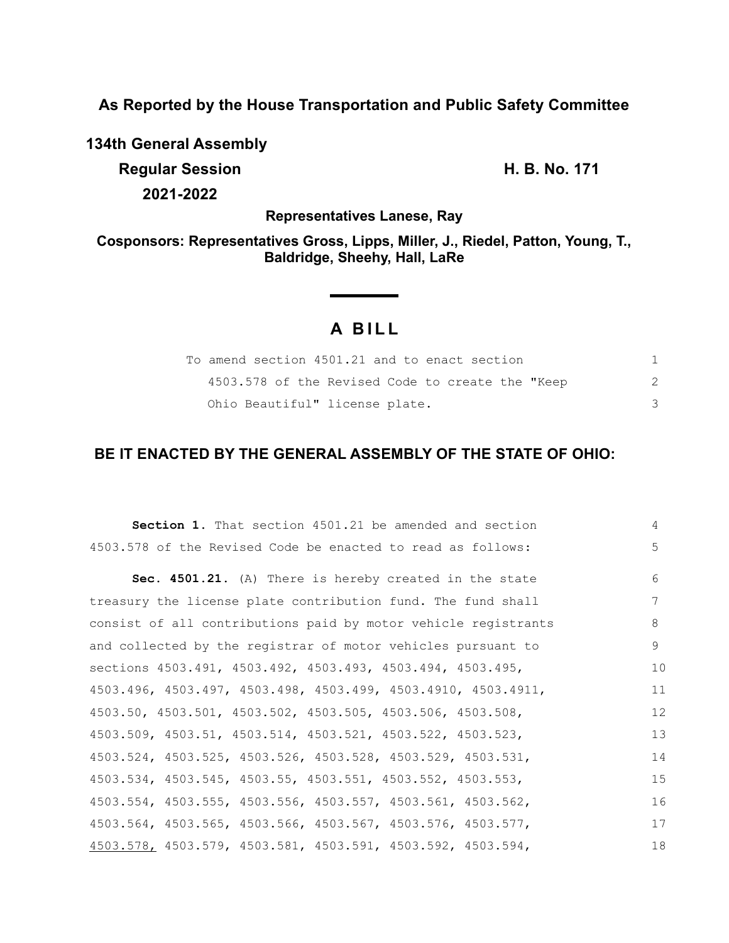**As Reported by the House Transportation and Public Safety Committee**

**134th General Assembly Regular Session H. B. No. 171 2021-2022**

**Representatives Lanese, Ray**

**Cosponsors: Representatives Gross, Lipps, Miller, J., Riedel, Patton, Young, T., Baldridge, Sheehy, Hall, LaRe**

# **A B I L L**

**Service State** 

| To amend section 4501.21 and to enact section    |  |
|--------------------------------------------------|--|
| 4503.578 of the Revised Code to create the "Keep |  |
| Ohio Beautiful" license plate.                   |  |

# **BE IT ENACTED BY THE GENERAL ASSEMBLY OF THE STATE OF OHIO:**

| <b>Section 1.</b> That section 4501.21 be amended and section  | 4  |
|----------------------------------------------------------------|----|
| 4503.578 of the Revised Code be enacted to read as follows:    | 5  |
| Sec. 4501.21. (A) There is hereby created in the state         | 6  |
| treasury the license plate contribution fund. The fund shall   | 7  |
| consist of all contributions paid by motor vehicle registrants | 8  |
| and collected by the registrar of motor vehicles pursuant to   | 9  |
| sections 4503.491, 4503.492, 4503.493, 4503.494, 4503.495,     | 10 |
| 4503.496, 4503.497, 4503.498, 4503.499, 4503.4910, 4503.4911,  | 11 |
| 4503.50, 4503.501, 4503.502, 4503.505, 4503.506, 4503.508,     | 12 |
| 4503.509, 4503.51, 4503.514, 4503.521, 4503.522, 4503.523,     | 13 |
| 4503.524, 4503.525, 4503.526, 4503.528, 4503.529, 4503.531,    | 14 |
| 4503.534, 4503.545, 4503.55, 4503.551, 4503.552, 4503.553,     | 15 |
| 4503.554, 4503.555, 4503.556, 4503.557, 4503.561, 4503.562,    | 16 |
| 4503.564, 4503.565, 4503.566, 4503.567, 4503.576, 4503.577,    | 17 |
| 4503.578, 4503.579, 4503.581, 4503.591, 4503.592, 4503.594,    | 18 |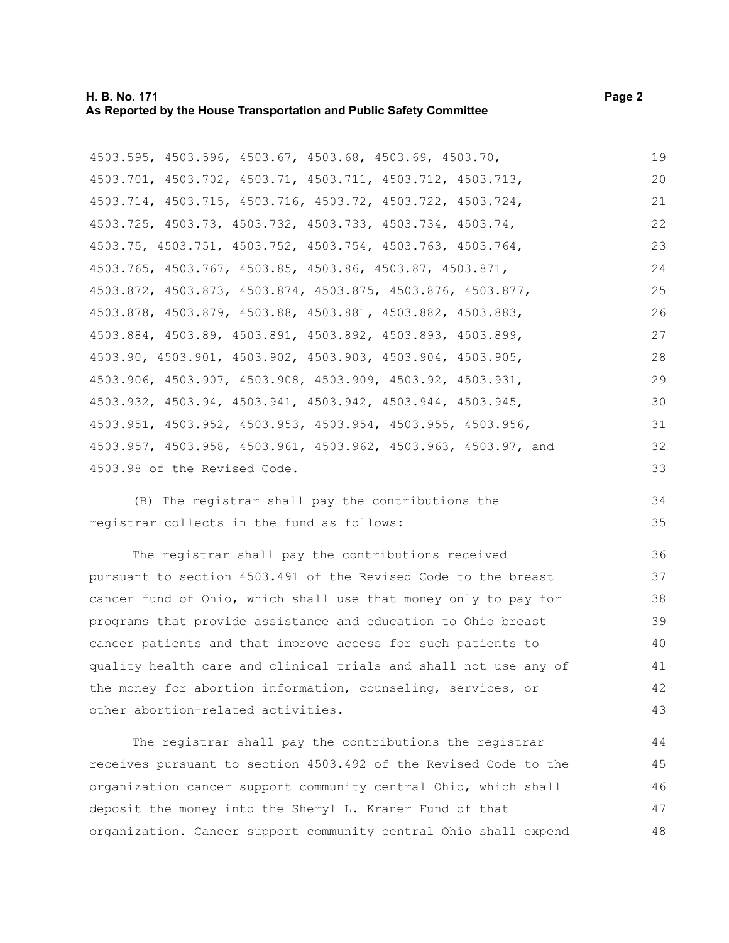#### **H. B. No. 171** Page 2 **As Reported by the House Transportation and Public Safety Committee**

4503.595, 4503.596, 4503.67, 4503.68, 4503.69, 4503.70, 4503.701, 4503.702, 4503.71, 4503.711, 4503.712, 4503.713, 4503.714, 4503.715, 4503.716, 4503.72, 4503.722, 4503.724, 4503.725, 4503.73, 4503.732, 4503.733, 4503.734, 4503.74, 4503.75, 4503.751, 4503.752, 4503.754, 4503.763, 4503.764, 4503.765, 4503.767, 4503.85, 4503.86, 4503.87, 4503.871, 4503.872, 4503.873, 4503.874, 4503.875, 4503.876, 4503.877, 4503.878, 4503.879, 4503.88, 4503.881, 4503.882, 4503.883, 4503.884, 4503.89, 4503.891, 4503.892, 4503.893, 4503.899, 4503.90, 4503.901, 4503.902, 4503.903, 4503.904, 4503.905, 4503.906, 4503.907, 4503.908, 4503.909, 4503.92, 4503.931, 4503.932, 4503.94, 4503.941, 4503.942, 4503.944, 4503.945, 4503.951, 4503.952, 4503.953, 4503.954, 4503.955, 4503.956, 4503.957, 4503.958, 4503.961, 4503.962, 4503.963, 4503.97, and 4503.98 of the Revised Code. 19 20 21 22 23 24 25 26 27 28 29 30 31 32 33

(B) The registrar shall pay the contributions the registrar collects in the fund as follows:

The registrar shall pay the contributions received pursuant to section 4503.491 of the Revised Code to the breast cancer fund of Ohio, which shall use that money only to pay for programs that provide assistance and education to Ohio breast cancer patients and that improve access for such patients to quality health care and clinical trials and shall not use any of the money for abortion information, counseling, services, or other abortion-related activities.

The registrar shall pay the contributions the registrar receives pursuant to section 4503.492 of the Revised Code to the organization cancer support community central Ohio, which shall deposit the money into the Sheryl L. Kraner Fund of that organization. Cancer support community central Ohio shall expend 44 45 46 47 48

34 35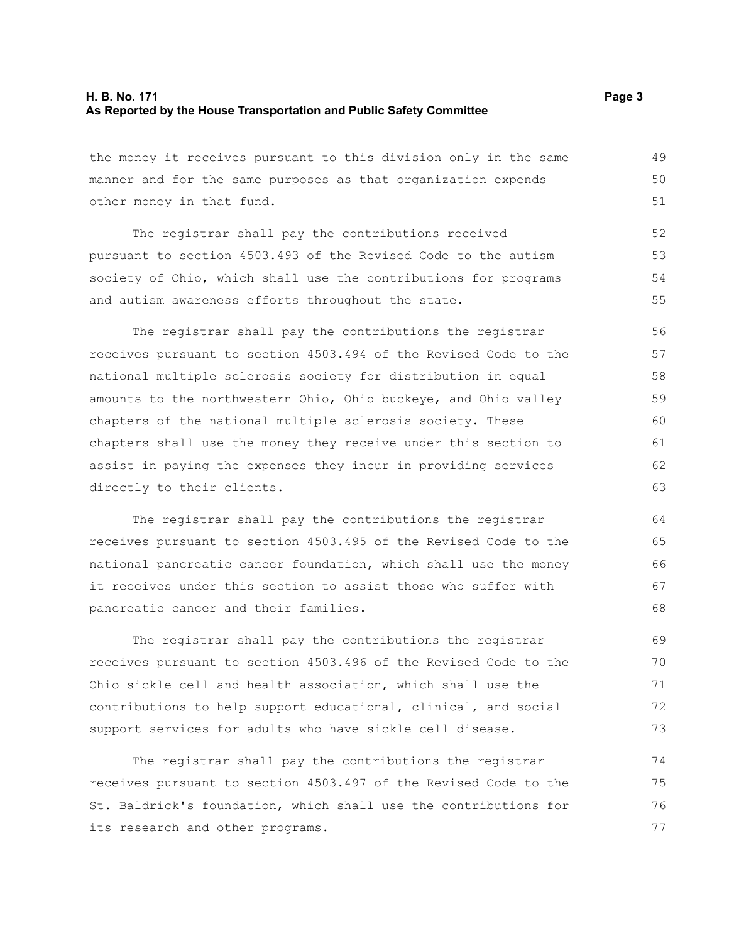#### **H. B. No. 171** Page 3 **As Reported by the House Transportation and Public Safety Committee**

the money it receives pursuant to this division only in the same manner and for the same purposes as that organization expends other money in that fund. 49 50 51

The registrar shall pay the contributions received pursuant to section 4503.493 of the Revised Code to the autism society of Ohio, which shall use the contributions for programs and autism awareness efforts throughout the state. 52 53 54 55

The registrar shall pay the contributions the registrar receives pursuant to section 4503.494 of the Revised Code to the national multiple sclerosis society for distribution in equal amounts to the northwestern Ohio, Ohio buckeye, and Ohio valley chapters of the national multiple sclerosis society. These chapters shall use the money they receive under this section to assist in paying the expenses they incur in providing services directly to their clients. 56 57 58 59 60 61 62 63

The registrar shall pay the contributions the registrar receives pursuant to section 4503.495 of the Revised Code to the national pancreatic cancer foundation, which shall use the money it receives under this section to assist those who suffer with pancreatic cancer and their families.

The registrar shall pay the contributions the registrar receives pursuant to section 4503.496 of the Revised Code to the Ohio sickle cell and health association, which shall use the contributions to help support educational, clinical, and social support services for adults who have sickle cell disease.

The registrar shall pay the contributions the registrar receives pursuant to section 4503.497 of the Revised Code to the St. Baldrick's foundation, which shall use the contributions for its research and other programs. 74 75 76 77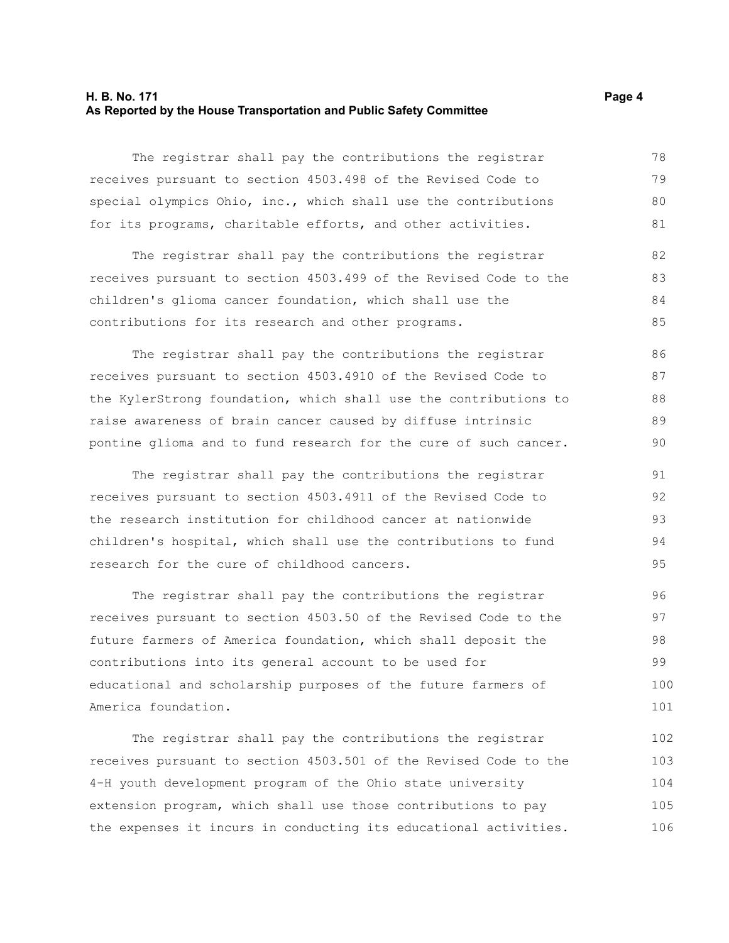#### **H. B. No. 171** Page 4 **As Reported by the House Transportation and Public Safety Committee**

The registrar shall pay the contributions the registrar receives pursuant to section 4503.498 of the Revised Code to special olympics Ohio, inc., which shall use the contributions for its programs, charitable efforts, and other activities. 78 79 80 81

The registrar shall pay the contributions the registrar receives pursuant to section 4503.499 of the Revised Code to the children's glioma cancer foundation, which shall use the contributions for its research and other programs.

The registrar shall pay the contributions the registrar receives pursuant to section 4503.4910 of the Revised Code to the KylerStrong foundation, which shall use the contributions to raise awareness of brain cancer caused by diffuse intrinsic pontine glioma and to fund research for the cure of such cancer. 86 87 88 89 90

The registrar shall pay the contributions the registrar receives pursuant to section 4503.4911 of the Revised Code to the research institution for childhood cancer at nationwide children's hospital, which shall use the contributions to fund research for the cure of childhood cancers. 91 92 93 94 95

The registrar shall pay the contributions the registrar receives pursuant to section 4503.50 of the Revised Code to the future farmers of America foundation, which shall deposit the contributions into its general account to be used for educational and scholarship purposes of the future farmers of America foundation. 96 97 98 99 100 101

The registrar shall pay the contributions the registrar receives pursuant to section 4503.501 of the Revised Code to the 4-H youth development program of the Ohio state university extension program, which shall use those contributions to pay the expenses it incurs in conducting its educational activities. 102 103 104 105 106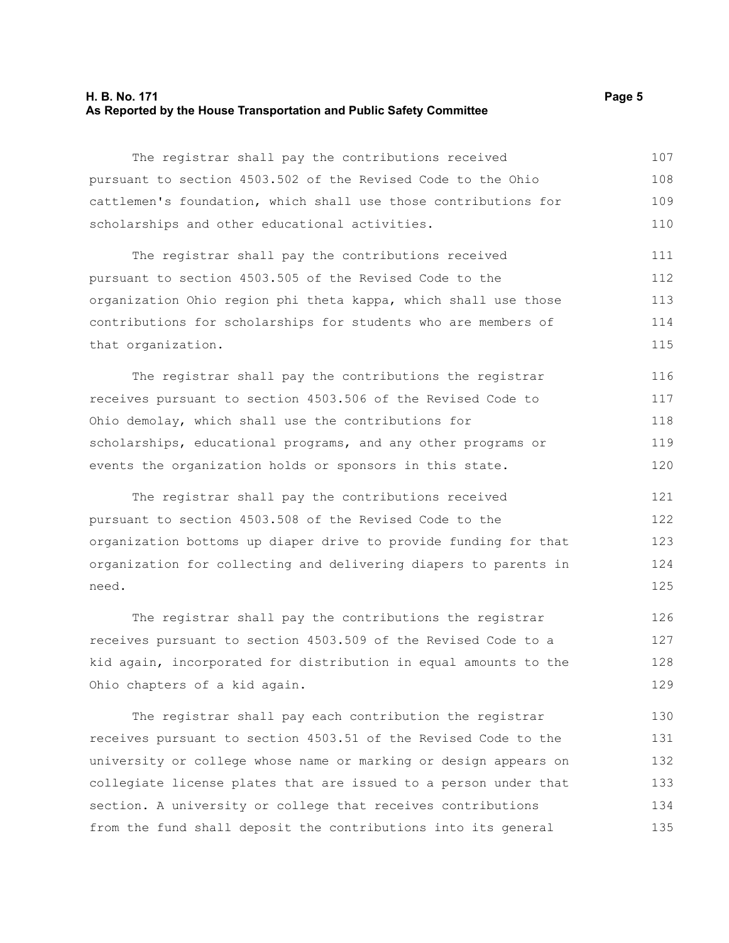#### **H. B. No. 171** Page 5 **As Reported by the House Transportation and Public Safety Committee**

The registrar shall pay the contributions received pursuant to section 4503.502 of the Revised Code to the Ohio cattlemen's foundation, which shall use those contributions for scholarships and other educational activities. 107 108 109 110

The registrar shall pay the contributions received pursuant to section 4503.505 of the Revised Code to the organization Ohio region phi theta kappa, which shall use those contributions for scholarships for students who are members of that organization. 111 112 113 114 115

The registrar shall pay the contributions the registrar receives pursuant to section 4503.506 of the Revised Code to Ohio demolay, which shall use the contributions for scholarships, educational programs, and any other programs or events the organization holds or sponsors in this state. 116 117 118 119 120

The registrar shall pay the contributions received pursuant to section 4503.508 of the Revised Code to the organization bottoms up diaper drive to provide funding for that organization for collecting and delivering diapers to parents in need. 121 122 123 124 125

The registrar shall pay the contributions the registrar receives pursuant to section 4503.509 of the Revised Code to a kid again, incorporated for distribution in equal amounts to the Ohio chapters of a kid again. 126 127 128 129

The registrar shall pay each contribution the registrar receives pursuant to section 4503.51 of the Revised Code to the university or college whose name or marking or design appears on collegiate license plates that are issued to a person under that section. A university or college that receives contributions from the fund shall deposit the contributions into its general 130 131 132 133 134 135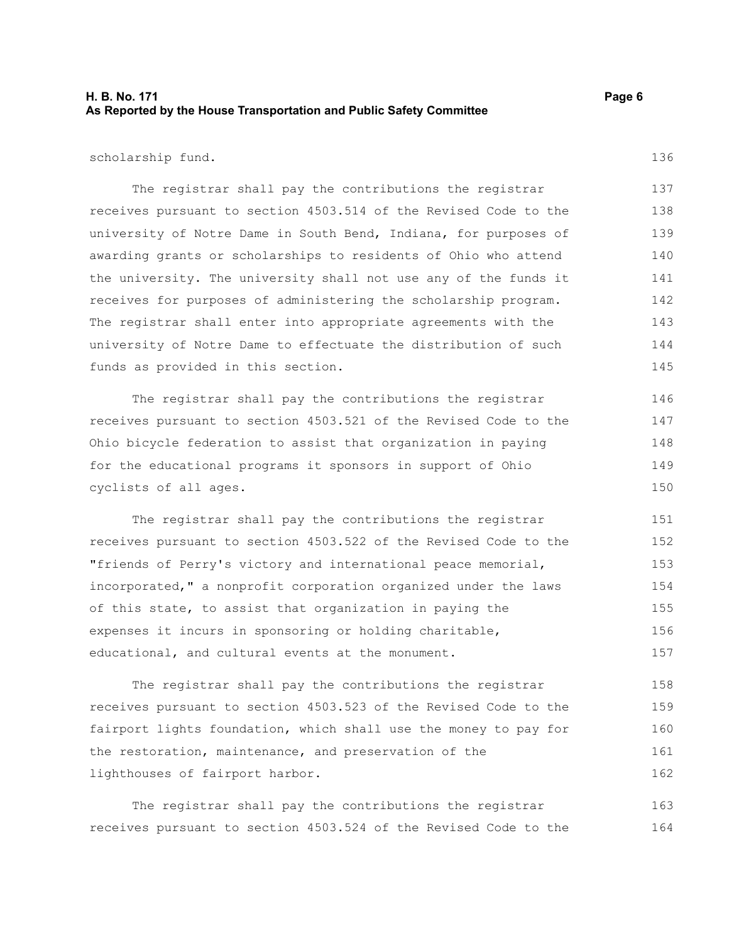### **H. B. No. 171 Page 6 As Reported by the House Transportation and Public Safety Committee**

scholarship fund.

The registrar shall pay the contributions the registrar receives pursuant to section 4503.514 of the Revised Code to the university of Notre Dame in South Bend, Indiana, for purposes of awarding grants or scholarships to residents of Ohio who attend the university. The university shall not use any of the funds it receives for purposes of administering the scholarship program. The registrar shall enter into appropriate agreements with the university of Notre Dame to effectuate the distribution of such funds as provided in this section. 137 138 139 140 141 142 143 144 145

The registrar shall pay the contributions the registrar receives pursuant to section 4503.521 of the Revised Code to the Ohio bicycle federation to assist that organization in paying for the educational programs it sponsors in support of Ohio cyclists of all ages.

The registrar shall pay the contributions the registrar receives pursuant to section 4503.522 of the Revised Code to the "friends of Perry's victory and international peace memorial, incorporated," a nonprofit corporation organized under the laws of this state, to assist that organization in paying the expenses it incurs in sponsoring or holding charitable, educational, and cultural events at the monument. 151 152 153 154 155 156 157

The registrar shall pay the contributions the registrar receives pursuant to section 4503.523 of the Revised Code to the fairport lights foundation, which shall use the money to pay for the restoration, maintenance, and preservation of the lighthouses of fairport harbor. 158 159 160 161 162

The registrar shall pay the contributions the registrar receives pursuant to section 4503.524 of the Revised Code to the 163 164

136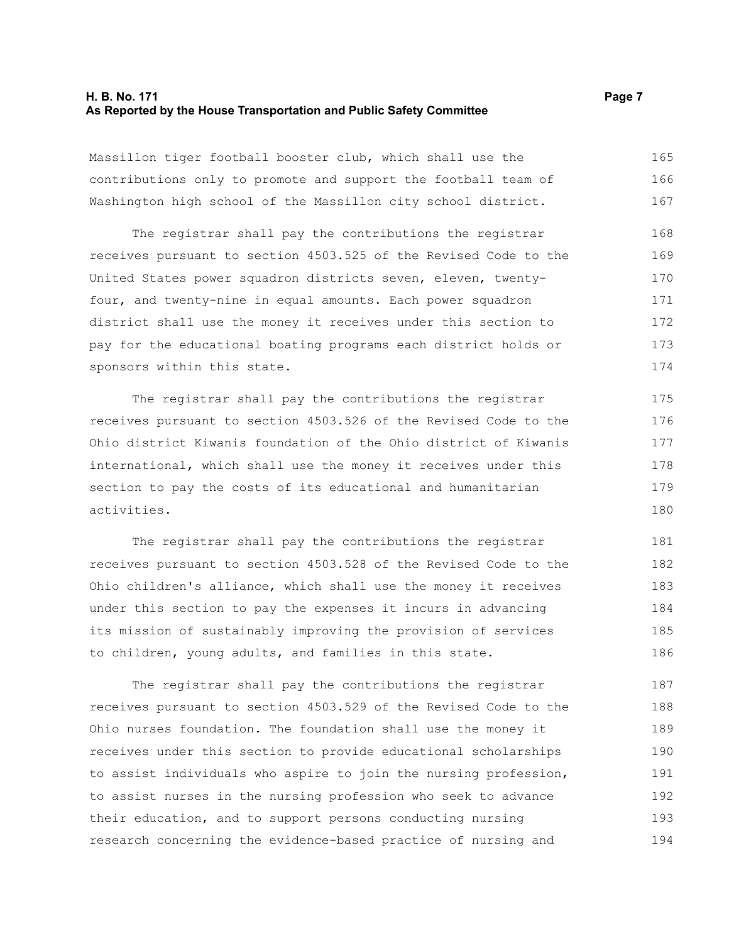#### **H. B. No. 171** Page 7 **As Reported by the House Transportation and Public Safety Committee**

Massillon tiger football booster club, which shall use the contributions only to promote and support the football team of Washington high school of the Massillon city school district. 165 166 167

The registrar shall pay the contributions the registrar receives pursuant to section 4503.525 of the Revised Code to the United States power squadron districts seven, eleven, twentyfour, and twenty-nine in equal amounts. Each power squadron district shall use the money it receives under this section to pay for the educational boating programs each district holds or sponsors within this state. 168 169 170 171 172 173 174

The registrar shall pay the contributions the registrar receives pursuant to section 4503.526 of the Revised Code to the Ohio district Kiwanis foundation of the Ohio district of Kiwanis international, which shall use the money it receives under this section to pay the costs of its educational and humanitarian activities.

The registrar shall pay the contributions the registrar receives pursuant to section 4503.528 of the Revised Code to the Ohio children's alliance, which shall use the money it receives under this section to pay the expenses it incurs in advancing its mission of sustainably improving the provision of services to children, young adults, and families in this state. 181 182 183 184 185 186

The registrar shall pay the contributions the registrar receives pursuant to section 4503.529 of the Revised Code to the Ohio nurses foundation. The foundation shall use the money it receives under this section to provide educational scholarships to assist individuals who aspire to join the nursing profession, to assist nurses in the nursing profession who seek to advance their education, and to support persons conducting nursing research concerning the evidence-based practice of nursing and 187 188 189 190 191 192 193 194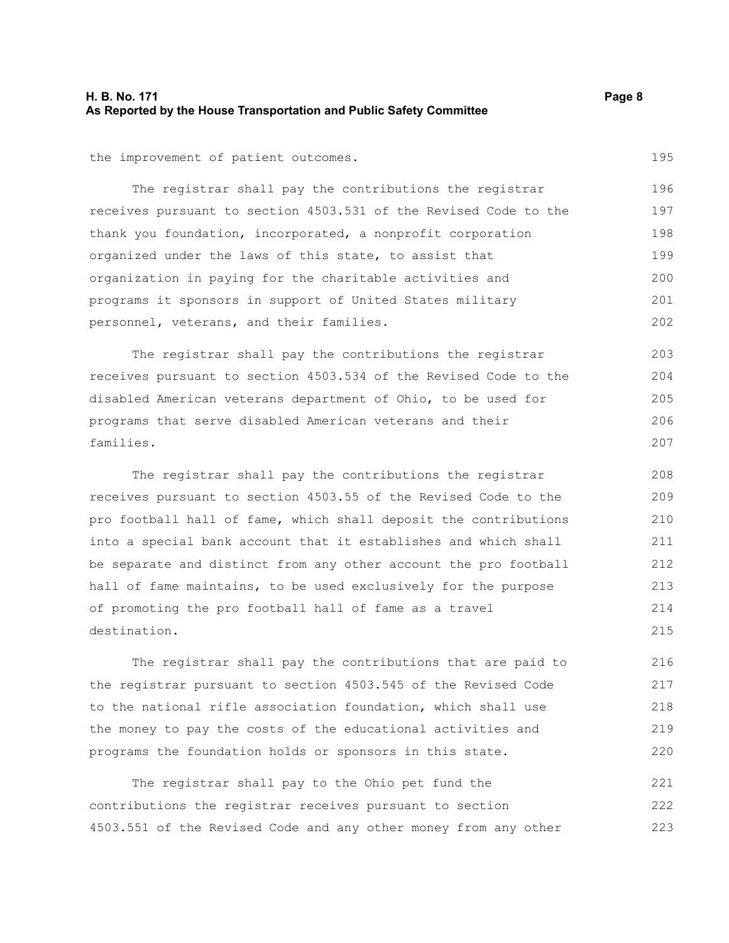### **H. B. No. 171 Page 8 As Reported by the House Transportation and Public Safety Committee**

the improvement of patient outcomes.

The registrar shall pay the contributions the registrar receives pursuant to section 4503.531 of the Revised Code to the thank you foundation, incorporated, a nonprofit corporation organized under the laws of this state, to assist that organization in paying for the charitable activities and programs it sponsors in support of United States military personnel, veterans, and their families. 196 197 198 199 200 201 202

The registrar shall pay the contributions the registrar receives pursuant to section 4503.534 of the Revised Code to the disabled American veterans department of Ohio, to be used for programs that serve disabled American veterans and their families.

The registrar shall pay the contributions the registrar receives pursuant to section 4503.55 of the Revised Code to the pro football hall of fame, which shall deposit the contributions into a special bank account that it establishes and which shall be separate and distinct from any other account the pro football hall of fame maintains, to be used exclusively for the purpose of promoting the pro football hall of fame as a travel destination. 208 209 210 211 212 213 214 215

The registrar shall pay the contributions that are paid to the registrar pursuant to section 4503.545 of the Revised Code to the national rifle association foundation, which shall use the money to pay the costs of the educational activities and programs the foundation holds or sponsors in this state. 216 217 218 219 220

The registrar shall pay to the Ohio pet fund the contributions the registrar receives pursuant to section 4503.551 of the Revised Code and any other money from any other 221 222 223

204 205

206 207

203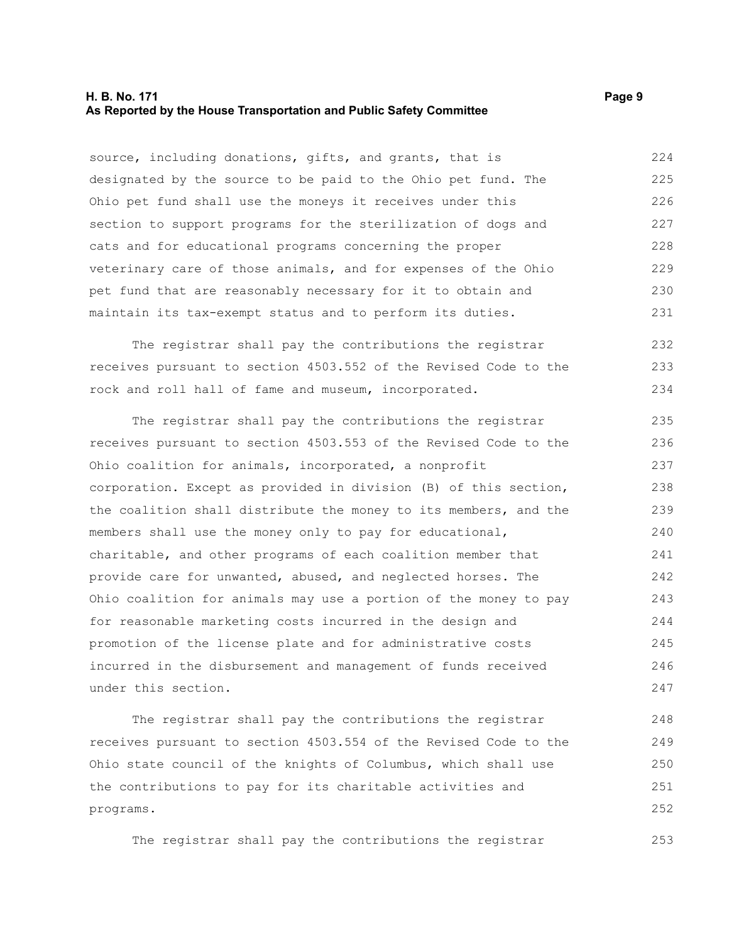#### **H. B. No. 171 Page 9 As Reported by the House Transportation and Public Safety Committee**

source, including donations, gifts, and grants, that is designated by the source to be paid to the Ohio pet fund. The Ohio pet fund shall use the moneys it receives under this section to support programs for the sterilization of dogs and cats and for educational programs concerning the proper veterinary care of those animals, and for expenses of the Ohio pet fund that are reasonably necessary for it to obtain and maintain its tax-exempt status and to perform its duties. 224 225 226 227 228 229 230 231

The registrar shall pay the contributions the registrar receives pursuant to section 4503.552 of the Revised Code to the rock and roll hall of fame and museum, incorporated. 232 233 234

The registrar shall pay the contributions the registrar receives pursuant to section 4503.553 of the Revised Code to the Ohio coalition for animals, incorporated, a nonprofit corporation. Except as provided in division (B) of this section, the coalition shall distribute the money to its members, and the members shall use the money only to pay for educational, charitable, and other programs of each coalition member that provide care for unwanted, abused, and neglected horses. The Ohio coalition for animals may use a portion of the money to pay for reasonable marketing costs incurred in the design and promotion of the license plate and for administrative costs incurred in the disbursement and management of funds received under this section. 235 236 237 238 239 240 241 242 243 244 245 246 247

The registrar shall pay the contributions the registrar receives pursuant to section 4503.554 of the Revised Code to the Ohio state council of the knights of Columbus, which shall use the contributions to pay for its charitable activities and programs. 248 249 250 251 252

The registrar shall pay the contributions the registrar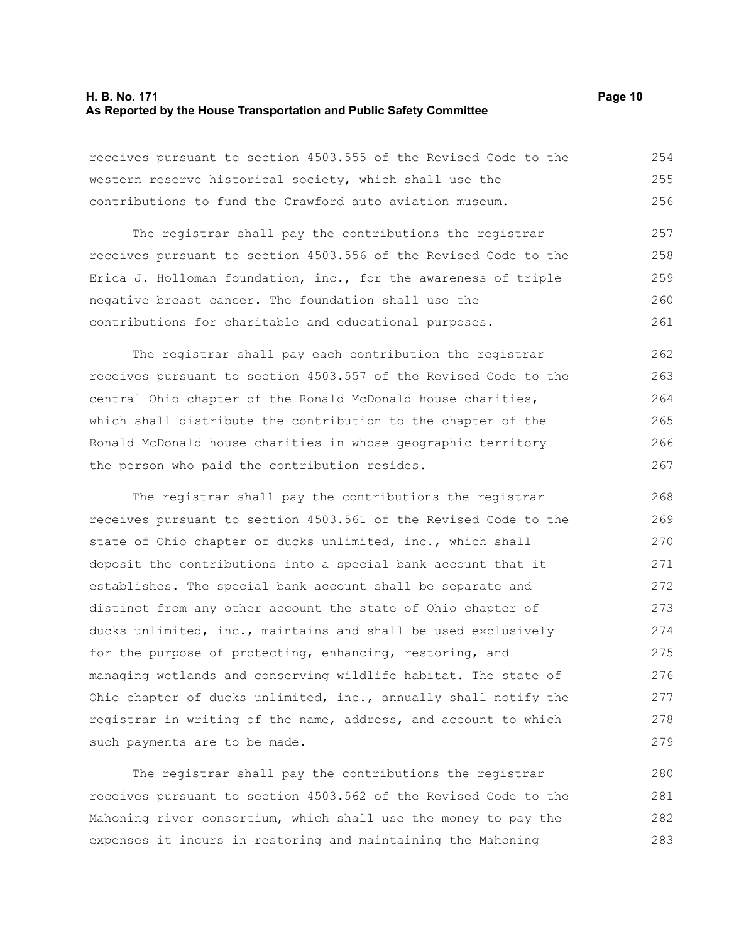#### **H. B. No. 171 Page 10 As Reported by the House Transportation and Public Safety Committee**

receives pursuant to section 4503.555 of the Revised Code to the western reserve historical society, which shall use the contributions to fund the Crawford auto aviation museum. 254 255 256

The registrar shall pay the contributions the registrar receives pursuant to section 4503.556 of the Revised Code to the Erica J. Holloman foundation, inc., for the awareness of triple negative breast cancer. The foundation shall use the contributions for charitable and educational purposes. 257 258 259 260 261

The registrar shall pay each contribution the registrar receives pursuant to section 4503.557 of the Revised Code to the central Ohio chapter of the Ronald McDonald house charities, which shall distribute the contribution to the chapter of the Ronald McDonald house charities in whose geographic territory the person who paid the contribution resides. 262 263 264 265 266 267

The registrar shall pay the contributions the registrar receives pursuant to section 4503.561 of the Revised Code to the state of Ohio chapter of ducks unlimited, inc., which shall deposit the contributions into a special bank account that it establishes. The special bank account shall be separate and distinct from any other account the state of Ohio chapter of ducks unlimited, inc., maintains and shall be used exclusively for the purpose of protecting, enhancing, restoring, and managing wetlands and conserving wildlife habitat. The state of Ohio chapter of ducks unlimited, inc., annually shall notify the registrar in writing of the name, address, and account to which such payments are to be made. 268 269 270 271 272 273 274 275 276 277 278 279

The registrar shall pay the contributions the registrar receives pursuant to section 4503.562 of the Revised Code to the Mahoning river consortium, which shall use the money to pay the expenses it incurs in restoring and maintaining the Mahoning 280 281 282 283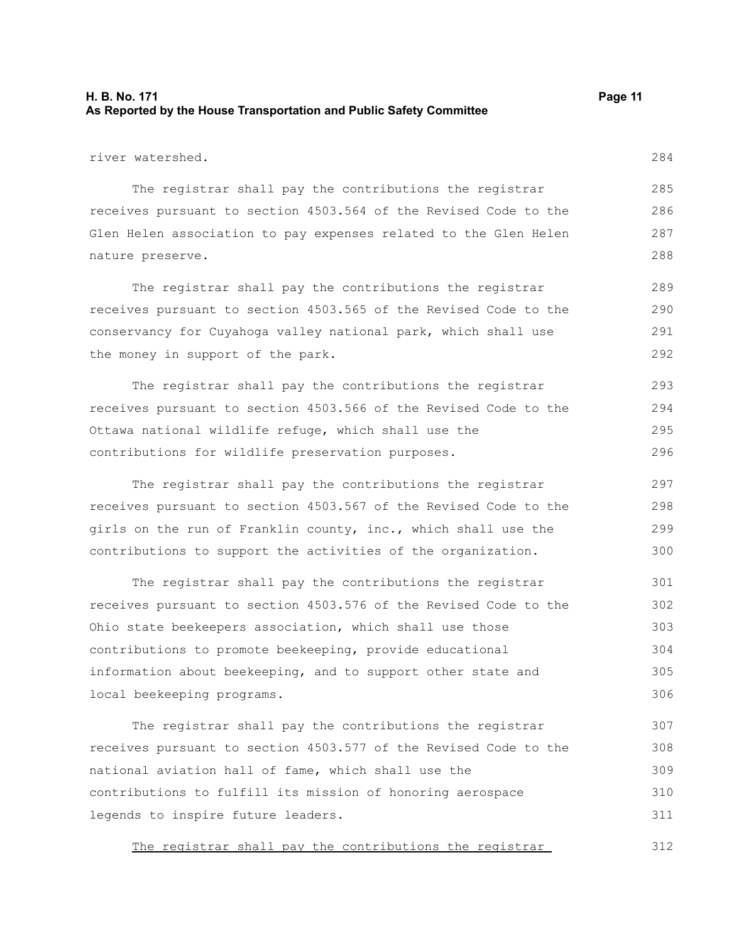### **H. B. No. 171 Page 11 As Reported by the House Transportation and Public Safety Committee**

The registrar shall pay the contributions the registrar receives pursuant to section 4503.564 of the Revised Code to the Glen Helen association to pay expenses related to the Glen Helen nature preserve.

The registrar shall pay the contributions the registrar receives pursuant to section 4503.565 of the Revised Code to the conservancy for Cuyahoga valley national park, which shall use the money in support of the park. 289 290 291 292

The registrar shall pay the contributions the registrar receives pursuant to section 4503.566 of the Revised Code to the Ottawa national wildlife refuge, which shall use the contributions for wildlife preservation purposes. 293 294 295 296

The registrar shall pay the contributions the registrar receives pursuant to section 4503.567 of the Revised Code to the girls on the run of Franklin county, inc., which shall use the contributions to support the activities of the organization. 297 298 299 300

The registrar shall pay the contributions the registrar receives pursuant to section 4503.576 of the Revised Code to the Ohio state beekeepers association, which shall use those contributions to promote beekeeping, provide educational information about beekeeping, and to support other state and local beekeeping programs. 301 302 303 304 305 306

The registrar shall pay the contributions the registrar receives pursuant to section 4503.577 of the Revised Code to the national aviation hall of fame, which shall use the contributions to fulfill its mission of honoring aerospace legends to inspire future leaders. 307 308 309 310 311

The registrar shall pay the contributions the registrar

284

286 287 288

285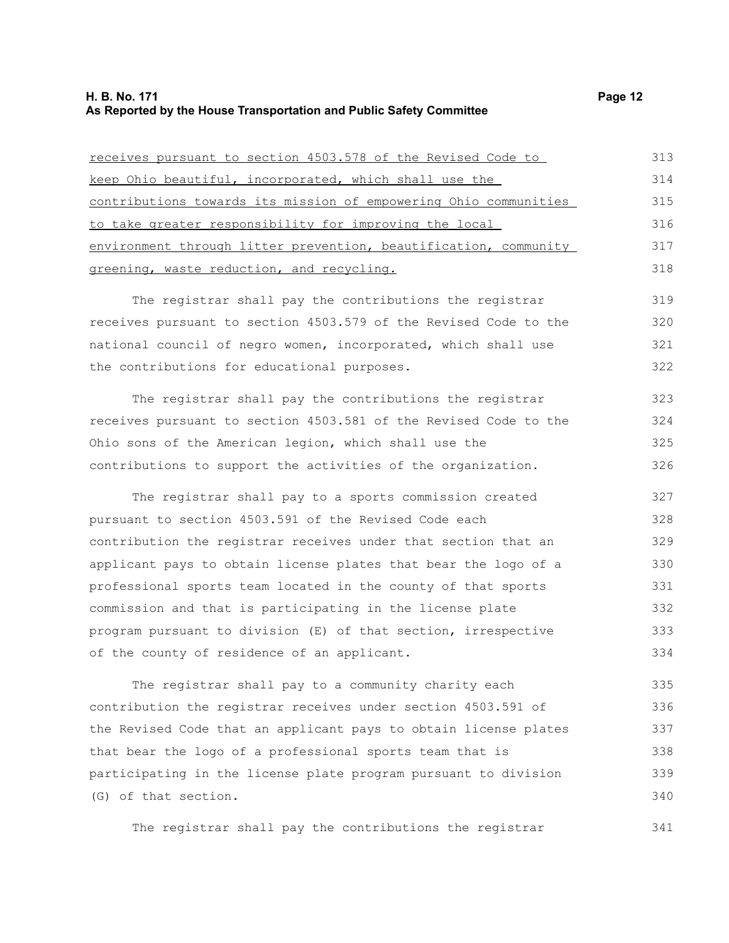#### **H. B. No. 171 Page 12 As Reported by the House Transportation and Public Safety Committee**

| receives pursuant to section 4503.578 of the Revised Code to     | 313 |
|------------------------------------------------------------------|-----|
| keep Ohio beautiful, incorporated, which shall use the           | 314 |
| contributions towards its mission of empowering Ohio communities | 315 |
| to take greater responsibility for improving the local           | 316 |
| environment through litter prevention, beautification, community | 317 |
| greening, waste reduction, and recycling.                        | 318 |
| The registrar shall pay the contributions the registrar          | 319 |
| receives pursuant to section 4503.579 of the Revised Code to the | 320 |
| national council of negro women, incorporated, which shall use   | 321 |
| the contributions for educational purposes.                      | 322 |
| The registrar shall pay the contributions the registrar          | 323 |
| receives pursuant to section 4503.581 of the Revised Code to the | 324 |
| Ohio sons of the American legion, which shall use the            | 325 |
| contributions to support the activities of the organization.     | 326 |
| The registrar shall pay to a sports commission created           | 327 |
| pursuant to section 4503.591 of the Revised Code each            | 328 |
| contribution the registrar receives under that section that an   | 329 |
| applicant pays to obtain license plates that bear the logo of a  | 330 |
| professional sports team located in the county of that sports    | 331 |
| commission and that is participating in the license plate        | 332 |
| program pursuant to division (E) of that section, irrespective   | 333 |
| of the county of residence of an applicant.                      | 334 |
| The registrar shall pay to a community charity each              | 335 |
|                                                                  |     |

contribution the registrar receives under section 4503.591 of the Revised Code that an applicant pays to obtain license plates that bear the logo of a professional sports team that is participating in the license plate program pursuant to division (G) of that section. 336 337 338 339 340

The registrar shall pay the contributions the registrar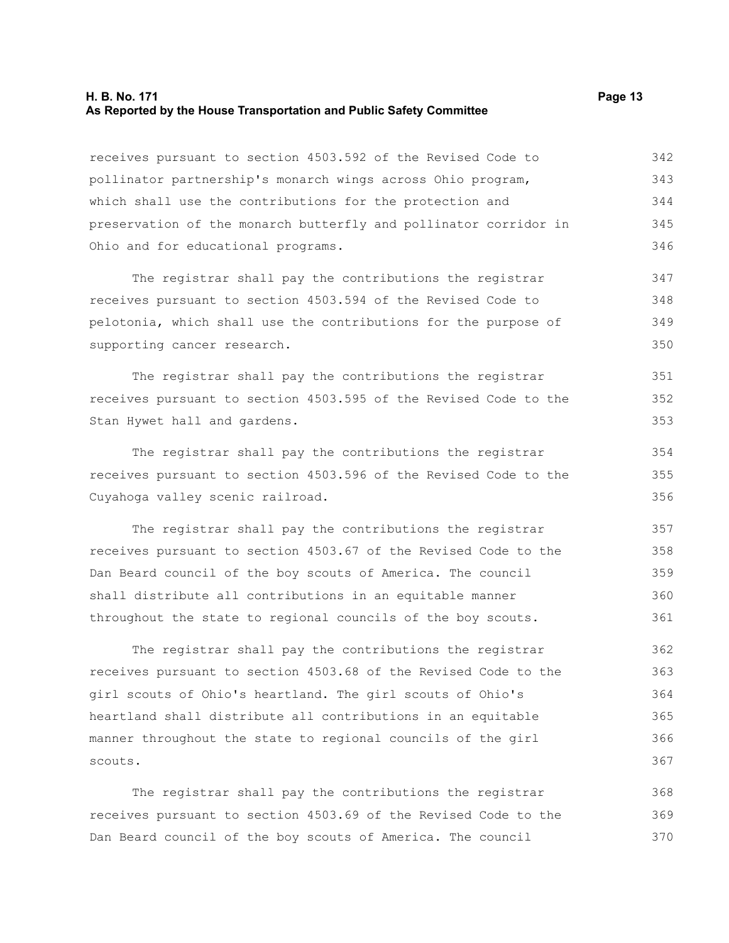#### **H. B. No. 171 Page 13 As Reported by the House Transportation and Public Safety Committee**

receives pursuant to section 4503.592 of the Revised Code to pollinator partnership's monarch wings across Ohio program, which shall use the contributions for the protection and preservation of the monarch butterfly and pollinator corridor in Ohio and for educational programs. 342 343 344 345 346

The registrar shall pay the contributions the registrar receives pursuant to section 4503.594 of the Revised Code to pelotonia, which shall use the contributions for the purpose of supporting cancer research. 347 348 349 350

The registrar shall pay the contributions the registrar receives pursuant to section 4503.595 of the Revised Code to the Stan Hywet hall and gardens.

The registrar shall pay the contributions the registrar receives pursuant to section 4503.596 of the Revised Code to the Cuyahoga valley scenic railroad. 354 355 356

The registrar shall pay the contributions the registrar receives pursuant to section 4503.67 of the Revised Code to the Dan Beard council of the boy scouts of America. The council shall distribute all contributions in an equitable manner throughout the state to regional councils of the boy scouts. 357 358 359 360 361

The registrar shall pay the contributions the registrar receives pursuant to section 4503.68 of the Revised Code to the girl scouts of Ohio's heartland. The girl scouts of Ohio's heartland shall distribute all contributions in an equitable manner throughout the state to regional councils of the girl scouts. 362 363 364 365 366 367

The registrar shall pay the contributions the registrar receives pursuant to section 4503.69 of the Revised Code to the Dan Beard council of the boy scouts of America. The council 368 369 370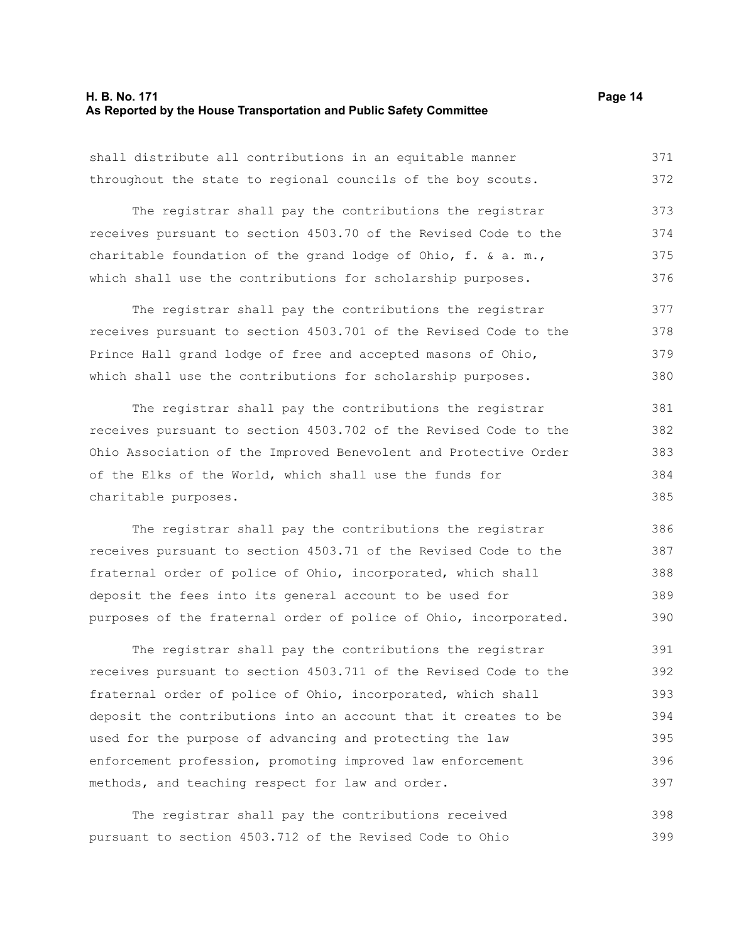#### **H. B. No. 171 Page 14 As Reported by the House Transportation and Public Safety Committee**

shall distribute all contributions in an equitable manner throughout the state to regional councils of the boy scouts. 371 372

The registrar shall pay the contributions the registrar receives pursuant to section 4503.70 of the Revised Code to the charitable foundation of the grand lodge of Ohio, f. & a. m., which shall use the contributions for scholarship purposes. 373 374 375 376

The registrar shall pay the contributions the registrar receives pursuant to section 4503.701 of the Revised Code to the Prince Hall grand lodge of free and accepted masons of Ohio, which shall use the contributions for scholarship purposes. 377 378 379 380

The registrar shall pay the contributions the registrar receives pursuant to section 4503.702 of the Revised Code to the Ohio Association of the Improved Benevolent and Protective Order of the Elks of the World, which shall use the funds for charitable purposes. 381 382 383 384 385

The registrar shall pay the contributions the registrar receives pursuant to section 4503.71 of the Revised Code to the fraternal order of police of Ohio, incorporated, which shall deposit the fees into its general account to be used for purposes of the fraternal order of police of Ohio, incorporated.

The registrar shall pay the contributions the registrar receives pursuant to section 4503.711 of the Revised Code to the fraternal order of police of Ohio, incorporated, which shall deposit the contributions into an account that it creates to be used for the purpose of advancing and protecting the law enforcement profession, promoting improved law enforcement methods, and teaching respect for law and order. 391 392 393 394 395 396 397

The registrar shall pay the contributions received pursuant to section 4503.712 of the Revised Code to Ohio 398 399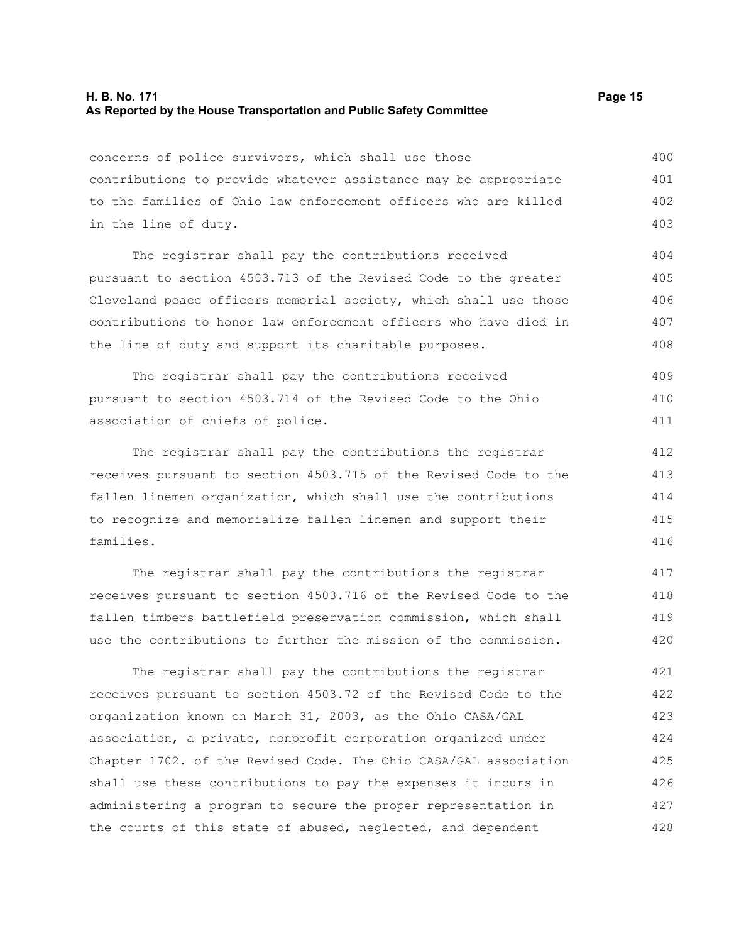#### **H. B. No. 171 Page 15 As Reported by the House Transportation and Public Safety Committee**

concerns of police survivors, which shall use those contributions to provide whatever assistance may be appropriate to the families of Ohio law enforcement officers who are killed in the line of duty. 400 401 402 403

The registrar shall pay the contributions received pursuant to section 4503.713 of the Revised Code to the greater Cleveland peace officers memorial society, which shall use those contributions to honor law enforcement officers who have died in the line of duty and support its charitable purposes. 404 405 406 407 408

The registrar shall pay the contributions received pursuant to section 4503.714 of the Revised Code to the Ohio association of chiefs of police. 409 410 411

The registrar shall pay the contributions the registrar receives pursuant to section 4503.715 of the Revised Code to the fallen linemen organization, which shall use the contributions to recognize and memorialize fallen linemen and support their families. 412 413 414 415 416

The registrar shall pay the contributions the registrar receives pursuant to section 4503.716 of the Revised Code to the fallen timbers battlefield preservation commission, which shall use the contributions to further the mission of the commission. 417 418 419 420

The registrar shall pay the contributions the registrar receives pursuant to section 4503.72 of the Revised Code to the organization known on March 31, 2003, as the Ohio CASA/GAL association, a private, nonprofit corporation organized under Chapter 1702. of the Revised Code. The Ohio CASA/GAL association shall use these contributions to pay the expenses it incurs in administering a program to secure the proper representation in the courts of this state of abused, neglected, and dependent 421 422 423 424 425 426 427 428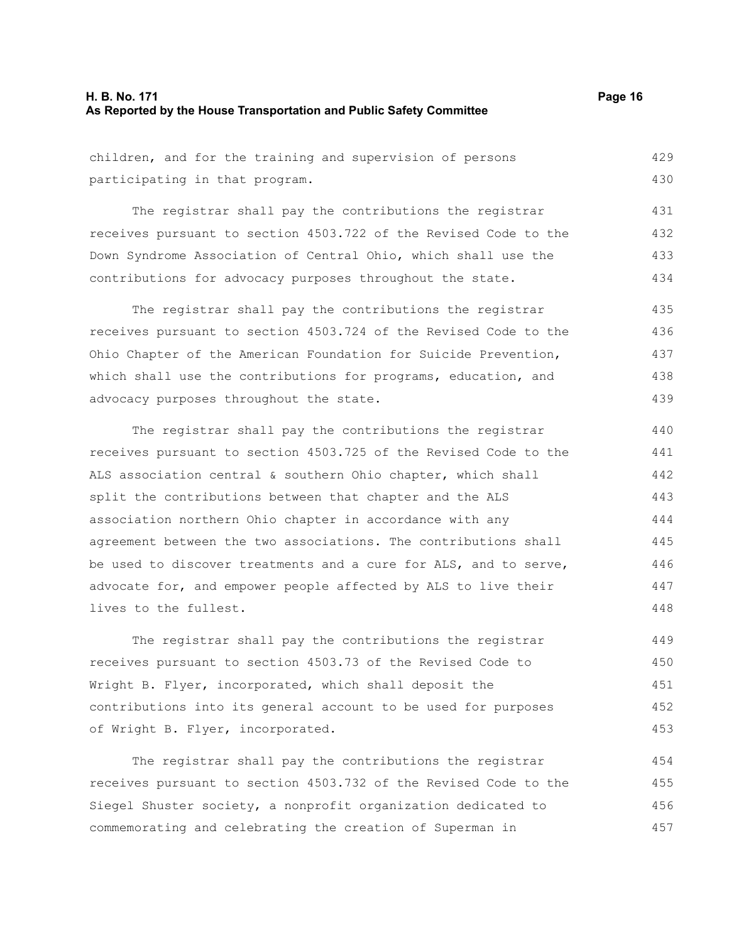#### **H. B. No. 171 Page 16 As Reported by the House Transportation and Public Safety Committee**

children, and for the training and supervision of persons participating in that program. 429 430

The registrar shall pay the contributions the registrar receives pursuant to section 4503.722 of the Revised Code to the Down Syndrome Association of Central Ohio, which shall use the contributions for advocacy purposes throughout the state. 431 432 433 434

The registrar shall pay the contributions the registrar receives pursuant to section 4503.724 of the Revised Code to the Ohio Chapter of the American Foundation for Suicide Prevention, which shall use the contributions for programs, education, and advocacy purposes throughout the state. 435 436 437 438 439

The registrar shall pay the contributions the registrar receives pursuant to section 4503.725 of the Revised Code to the ALS association central & southern Ohio chapter, which shall split the contributions between that chapter and the ALS association northern Ohio chapter in accordance with any agreement between the two associations. The contributions shall be used to discover treatments and a cure for ALS, and to serve, advocate for, and empower people affected by ALS to live their lives to the fullest.

The registrar shall pay the contributions the registrar receives pursuant to section 4503.73 of the Revised Code to Wright B. Flyer, incorporated, which shall deposit the contributions into its general account to be used for purposes of Wright B. Flyer, incorporated. 449 450 451 452 453

The registrar shall pay the contributions the registrar receives pursuant to section 4503.732 of the Revised Code to the Siegel Shuster society, a nonprofit organization dedicated to commemorating and celebrating the creation of Superman in 454 455 456 457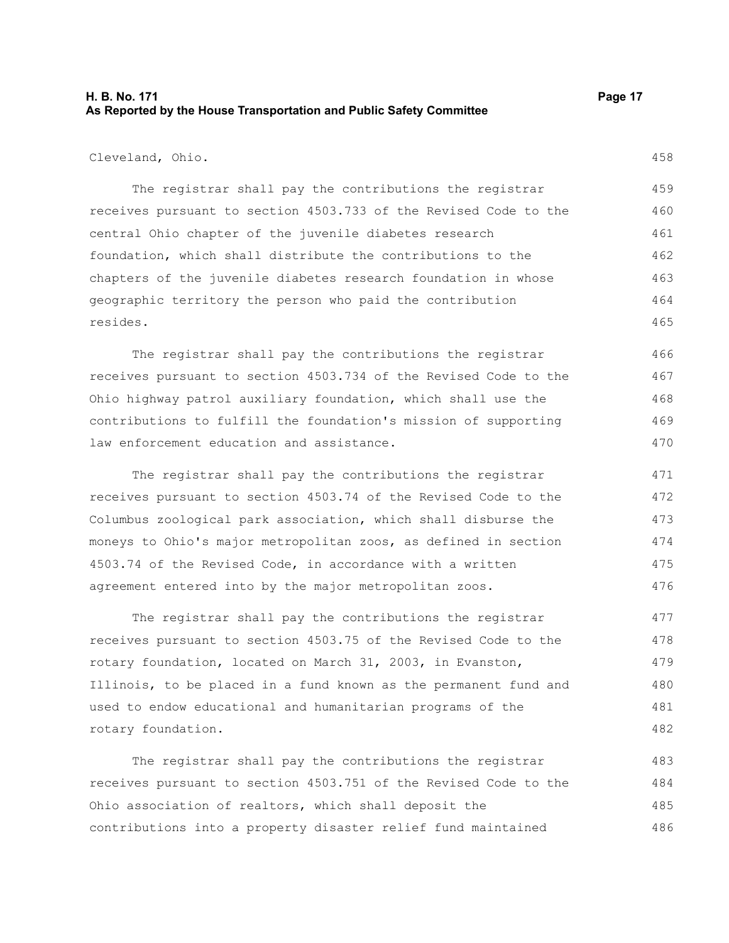### **H. B. No. 171 Page 17 As Reported by the House Transportation and Public Safety Committee**

Cleveland, Ohio.

The registrar shall pay the contributions the registrar receives pursuant to section 4503.733 of the Revised Code to the central Ohio chapter of the juvenile diabetes research foundation, which shall distribute the contributions to the chapters of the juvenile diabetes research foundation in whose geographic territory the person who paid the contribution resides. 459 460 461 462 463 464 465

The registrar shall pay the contributions the registrar receives pursuant to section 4503.734 of the Revised Code to the Ohio highway patrol auxiliary foundation, which shall use the contributions to fulfill the foundation's mission of supporting law enforcement education and assistance. 466 467 468 469 470

The registrar shall pay the contributions the registrar receives pursuant to section 4503.74 of the Revised Code to the Columbus zoological park association, which shall disburse the moneys to Ohio's major metropolitan zoos, as defined in section 4503.74 of the Revised Code, in accordance with a written agreement entered into by the major metropolitan zoos. 471 472 473 474 475 476

The registrar shall pay the contributions the registrar receives pursuant to section 4503.75 of the Revised Code to the rotary foundation, located on March 31, 2003, in Evanston, Illinois, to be placed in a fund known as the permanent fund and used to endow educational and humanitarian programs of the rotary foundation. 477 478 479 480 481 482

The registrar shall pay the contributions the registrar receives pursuant to section 4503.751 of the Revised Code to the Ohio association of realtors, which shall deposit the contributions into a property disaster relief fund maintained 483 484 485 486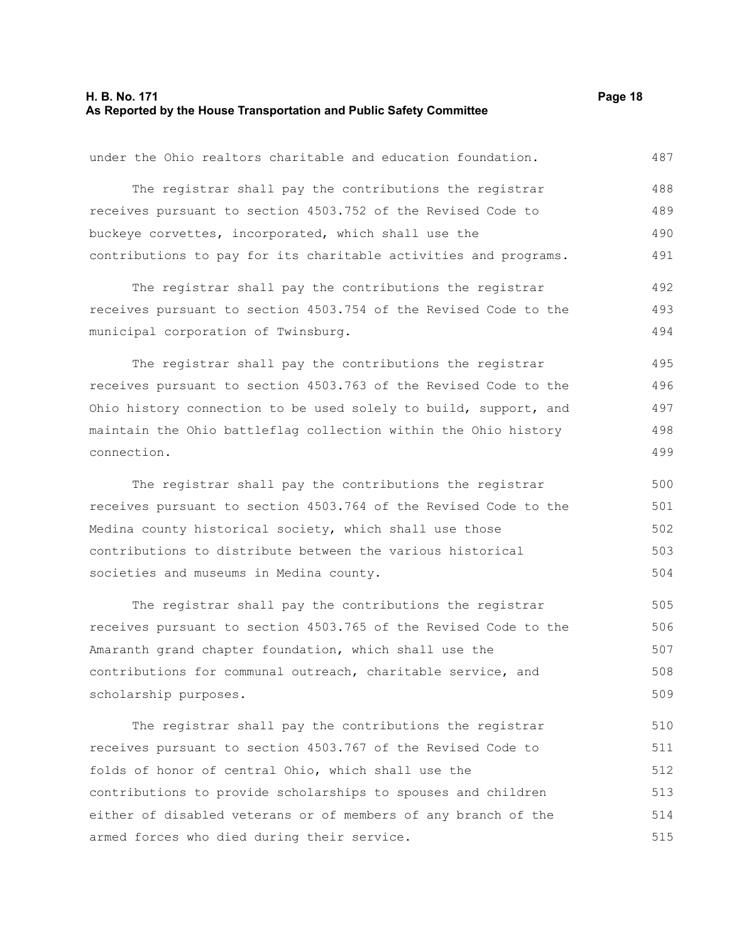#### **H. B. No. 171 Page 18 As Reported by the House Transportation and Public Safety Committee**

under the Ohio realtors charitable and education foundation.

The registrar shall pay the contributions the registrar receives pursuant to section 4503.752 of the Revised Code to buckeye corvettes, incorporated, which shall use the contributions to pay for its charitable activities and programs. The registrar shall pay the contributions the registrar receives pursuant to section 4503.754 of the Revised Code to the municipal corporation of Twinsburg. The registrar shall pay the contributions the registrar receives pursuant to section 4503.763 of the Revised Code to the Ohio history connection to be used solely to build, support, and

maintain the Ohio battleflag collection within the Ohio history connection. 497 498 499

The registrar shall pay the contributions the registrar receives pursuant to section 4503.764 of the Revised Code to the Medina county historical society, which shall use those contributions to distribute between the various historical societies and museums in Medina county. 500 501 502 503 504

The registrar shall pay the contributions the registrar receives pursuant to section 4503.765 of the Revised Code to the Amaranth grand chapter foundation, which shall use the contributions for communal outreach, charitable service, and scholarship purposes. 505 506 507 508 509

The registrar shall pay the contributions the registrar receives pursuant to section 4503.767 of the Revised Code to folds of honor of central Ohio, which shall use the contributions to provide scholarships to spouses and children either of disabled veterans or of members of any branch of the armed forces who died during their service. 510 511 512 513 514 515

487

492 493 494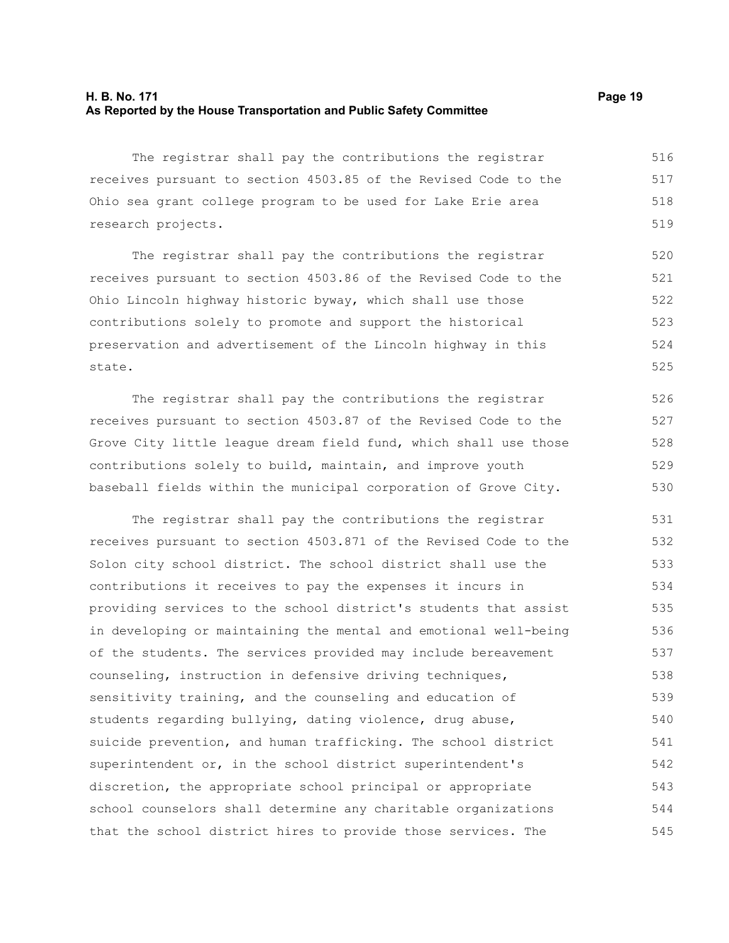#### **H. B. No. 171 Page 19 As Reported by the House Transportation and Public Safety Committee**

The registrar shall pay the contributions the registrar receives pursuant to section 4503.85 of the Revised Code to the Ohio sea grant college program to be used for Lake Erie area research projects. 516 517 518 519

The registrar shall pay the contributions the registrar receives pursuant to section 4503.86 of the Revised Code to the Ohio Lincoln highway historic byway, which shall use those contributions solely to promote and support the historical preservation and advertisement of the Lincoln highway in this state. 520 521 522 523 524 525

The registrar shall pay the contributions the registrar receives pursuant to section 4503.87 of the Revised Code to the Grove City little league dream field fund, which shall use those contributions solely to build, maintain, and improve youth baseball fields within the municipal corporation of Grove City. 526 527 528 529 530

The registrar shall pay the contributions the registrar receives pursuant to section 4503.871 of the Revised Code to the Solon city school district. The school district shall use the contributions it receives to pay the expenses it incurs in providing services to the school district's students that assist in developing or maintaining the mental and emotional well-being of the students. The services provided may include bereavement counseling, instruction in defensive driving techniques, sensitivity training, and the counseling and education of students regarding bullying, dating violence, drug abuse, suicide prevention, and human trafficking. The school district superintendent or, in the school district superintendent's discretion, the appropriate school principal or appropriate school counselors shall determine any charitable organizations that the school district hires to provide those services. The 531 532 533 534 535 536 537 538 539 540 541 542 543 544 545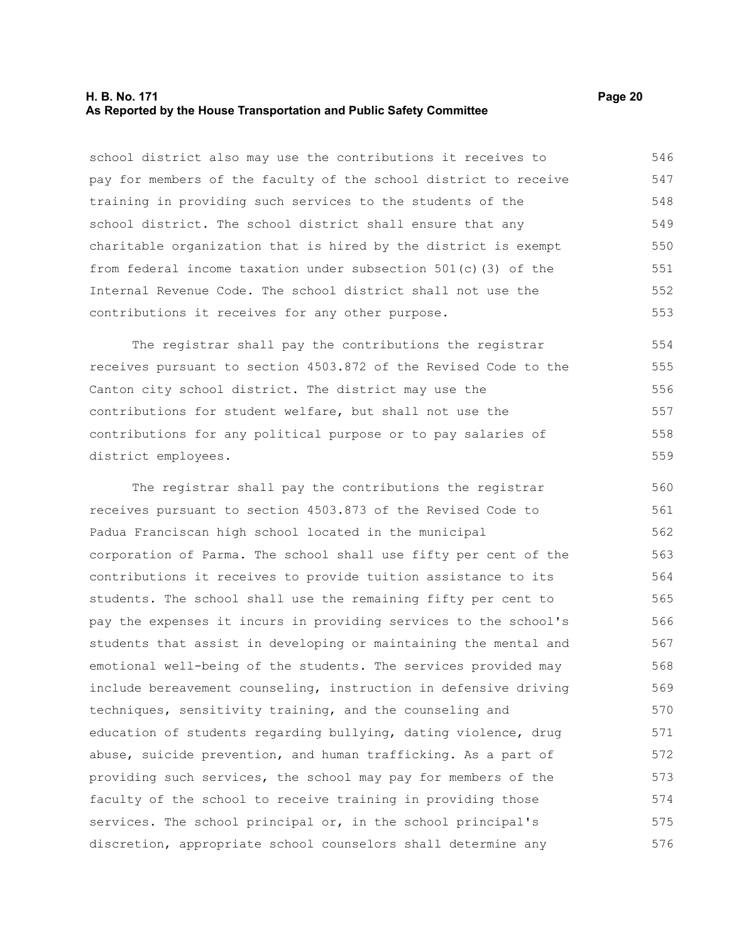#### **H. B. No. 171 Page 20 As Reported by the House Transportation and Public Safety Committee**

school district also may use the contributions it receives to pay for members of the faculty of the school district to receive training in providing such services to the students of the school district. The school district shall ensure that any charitable organization that is hired by the district is exempt from federal income taxation under subsection 501(c)(3) of the Internal Revenue Code. The school district shall not use the contributions it receives for any other purpose. 546 547 548 549 550 551 552 553

The registrar shall pay the contributions the registrar receives pursuant to section 4503.872 of the Revised Code to the Canton city school district. The district may use the contributions for student welfare, but shall not use the contributions for any political purpose or to pay salaries of district employees. 554 555 557 558

The registrar shall pay the contributions the registrar receives pursuant to section 4503.873 of the Revised Code to Padua Franciscan high school located in the municipal corporation of Parma. The school shall use fifty per cent of the contributions it receives to provide tuition assistance to its students. The school shall use the remaining fifty per cent to pay the expenses it incurs in providing services to the school's students that assist in developing or maintaining the mental and emotional well-being of the students. The services provided may include bereavement counseling, instruction in defensive driving techniques, sensitivity training, and the counseling and education of students regarding bullying, dating violence, drug abuse, suicide prevention, and human trafficking. As a part of providing such services, the school may pay for members of the faculty of the school to receive training in providing those services. The school principal or, in the school principal's discretion, appropriate school counselors shall determine any 560 561 562 563 564 565 566 567 568 569 570 571 572 573 574 575 576

556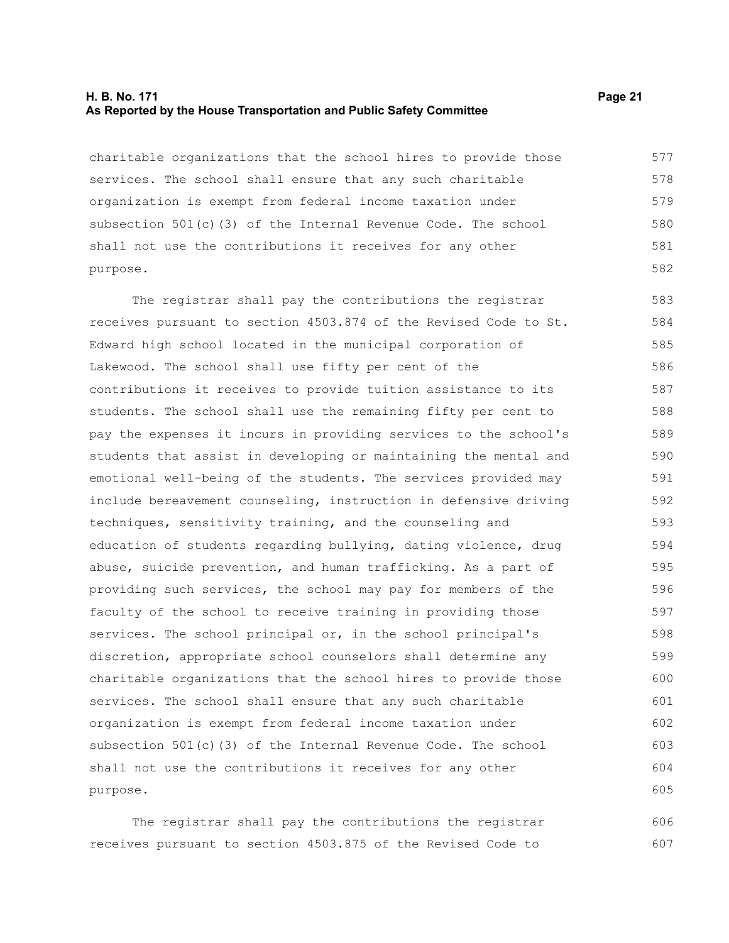#### **H. B. No. 171 Page 21 As Reported by the House Transportation and Public Safety Committee**

charitable organizations that the school hires to provide those services. The school shall ensure that any such charitable organization is exempt from federal income taxation under subsection 501(c)(3) of the Internal Revenue Code. The school shall not use the contributions it receives for any other purpose. 577 578 579 580 581 582

The registrar shall pay the contributions the registrar receives pursuant to section 4503.874 of the Revised Code to St. Edward high school located in the municipal corporation of Lakewood. The school shall use fifty per cent of the contributions it receives to provide tuition assistance to its students. The school shall use the remaining fifty per cent to pay the expenses it incurs in providing services to the school's students that assist in developing or maintaining the mental and emotional well-being of the students. The services provided may include bereavement counseling, instruction in defensive driving techniques, sensitivity training, and the counseling and education of students regarding bullying, dating violence, drug abuse, suicide prevention, and human trafficking. As a part of providing such services, the school may pay for members of the faculty of the school to receive training in providing those services. The school principal or, in the school principal's discretion, appropriate school counselors shall determine any charitable organizations that the school hires to provide those services. The school shall ensure that any such charitable organization is exempt from federal income taxation under subsection 501(c)(3) of the Internal Revenue Code. The school shall not use the contributions it receives for any other purpose. 583 584 585 586 587 588 589 590 591 592 593 594 595 596 597 598 599 600 601 602 603 604 605

The registrar shall pay the contributions the registrar receives pursuant to section 4503.875 of the Revised Code to 606 607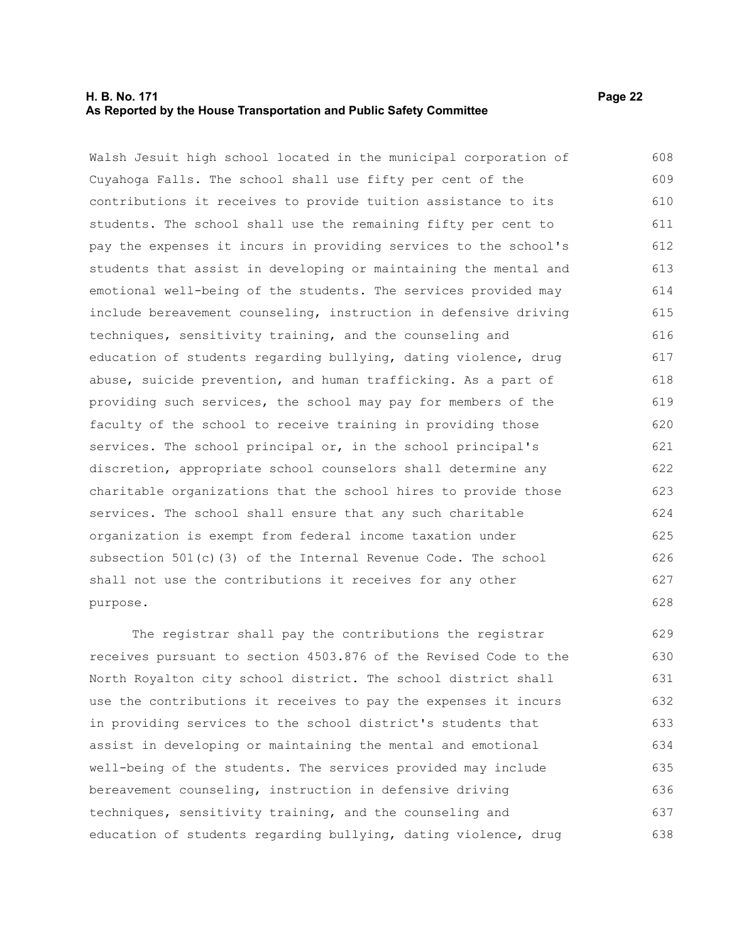#### **H. B. No. 171 Page 22 As Reported by the House Transportation and Public Safety Committee**

Walsh Jesuit high school located in the municipal corporation of Cuyahoga Falls. The school shall use fifty per cent of the contributions it receives to provide tuition assistance to its students. The school shall use the remaining fifty per cent to pay the expenses it incurs in providing services to the school's students that assist in developing or maintaining the mental and emotional well-being of the students. The services provided may include bereavement counseling, instruction in defensive driving techniques, sensitivity training, and the counseling and education of students regarding bullying, dating violence, drug abuse, suicide prevention, and human trafficking. As a part of providing such services, the school may pay for members of the faculty of the school to receive training in providing those services. The school principal or, in the school principal's discretion, appropriate school counselors shall determine any charitable organizations that the school hires to provide those services. The school shall ensure that any such charitable organization is exempt from federal income taxation under subsection 501(c)(3) of the Internal Revenue Code. The school shall not use the contributions it receives for any other purpose. 608 609 610 611 612 613 614 615 616 617 618 619 620 621 622 623 624 625 626 627 628

The registrar shall pay the contributions the registrar receives pursuant to section 4503.876 of the Revised Code to the North Royalton city school district. The school district shall use the contributions it receives to pay the expenses it incurs in providing services to the school district's students that assist in developing or maintaining the mental and emotional well-being of the students. The services provided may include bereavement counseling, instruction in defensive driving techniques, sensitivity training, and the counseling and education of students regarding bullying, dating violence, drug 629 630 631 632 633 634 635 636 637 638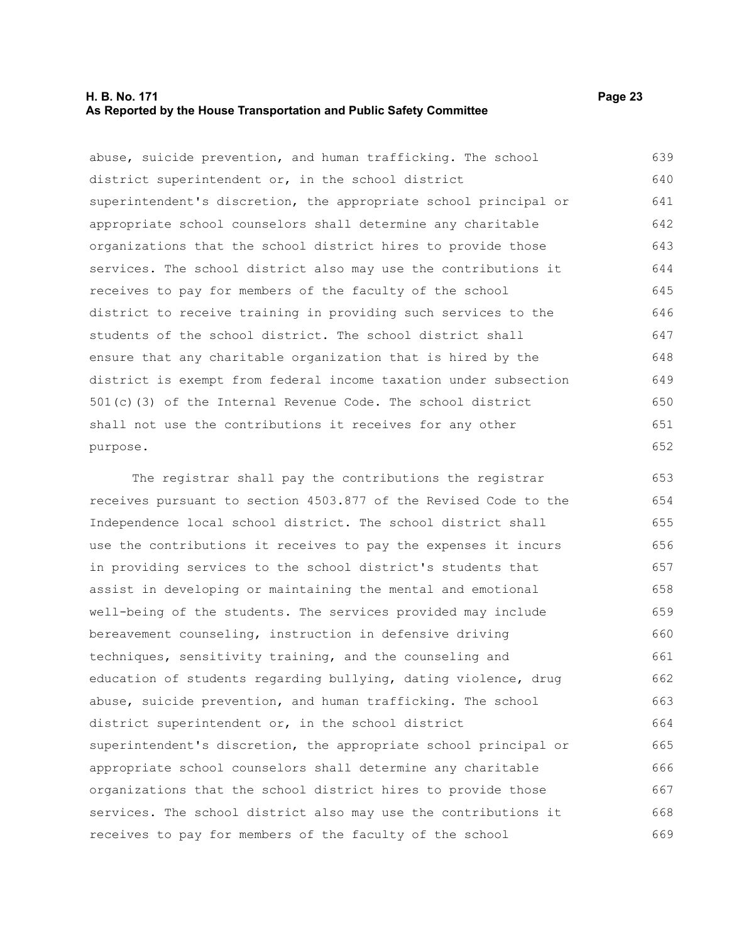#### **H. B. No. 171 Page 23 As Reported by the House Transportation and Public Safety Committee**

abuse, suicide prevention, and human trafficking. The school district superintendent or, in the school district superintendent's discretion, the appropriate school principal or appropriate school counselors shall determine any charitable organizations that the school district hires to provide those services. The school district also may use the contributions it receives to pay for members of the faculty of the school district to receive training in providing such services to the students of the school district. The school district shall ensure that any charitable organization that is hired by the district is exempt from federal income taxation under subsection 501(c)(3) of the Internal Revenue Code. The school district shall not use the contributions it receives for any other purpose. 639 640 641 642 643 644 645 646 647 648 649 650 651 652

The registrar shall pay the contributions the registrar receives pursuant to section 4503.877 of the Revised Code to the Independence local school district. The school district shall use the contributions it receives to pay the expenses it incurs in providing services to the school district's students that assist in developing or maintaining the mental and emotional well-being of the students. The services provided may include bereavement counseling, instruction in defensive driving techniques, sensitivity training, and the counseling and education of students regarding bullying, dating violence, drug abuse, suicide prevention, and human trafficking. The school district superintendent or, in the school district superintendent's discretion, the appropriate school principal or appropriate school counselors shall determine any charitable organizations that the school district hires to provide those services. The school district also may use the contributions it receives to pay for members of the faculty of the school 653 654 655 656 657 658 659 660 661 662 663 664 665 666 667 668 669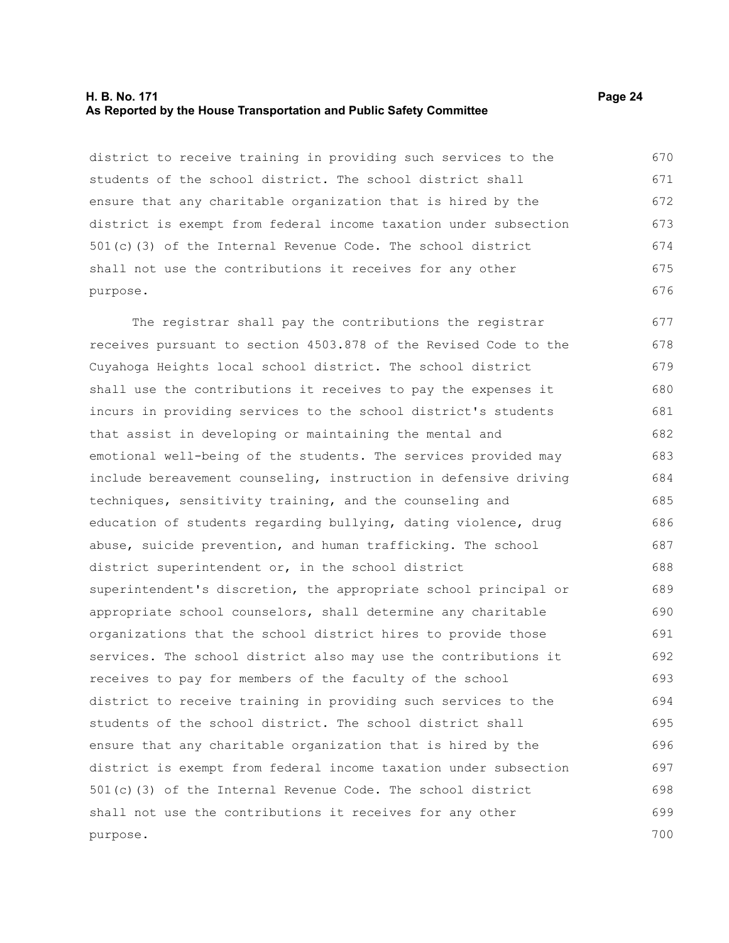#### **H. B. No. 171 Page 24 As Reported by the House Transportation and Public Safety Committee**

district to receive training in providing such services to the students of the school district. The school district shall ensure that any charitable organization that is hired by the district is exempt from federal income taxation under subsection 501(c)(3) of the Internal Revenue Code. The school district shall not use the contributions it receives for any other purpose.

The registrar shall pay the contributions the registrar receives pursuant to section 4503.878 of the Revised Code to the Cuyahoga Heights local school district. The school district shall use the contributions it receives to pay the expenses it incurs in providing services to the school district's students that assist in developing or maintaining the mental and emotional well-being of the students. The services provided may include bereavement counseling, instruction in defensive driving techniques, sensitivity training, and the counseling and education of students regarding bullying, dating violence, drug abuse, suicide prevention, and human trafficking. The school district superintendent or, in the school district superintendent's discretion, the appropriate school principal or appropriate school counselors, shall determine any charitable organizations that the school district hires to provide those services. The school district also may use the contributions it receives to pay for members of the faculty of the school district to receive training in providing such services to the students of the school district. The school district shall ensure that any charitable organization that is hired by the district is exempt from federal income taxation under subsection 501(c)(3) of the Internal Revenue Code. The school district shall not use the contributions it receives for any other purpose. 677 678 679 680 681 682 683 684 685 686 687 688 689 690 691 692 693 694 695 696 697 698 699 700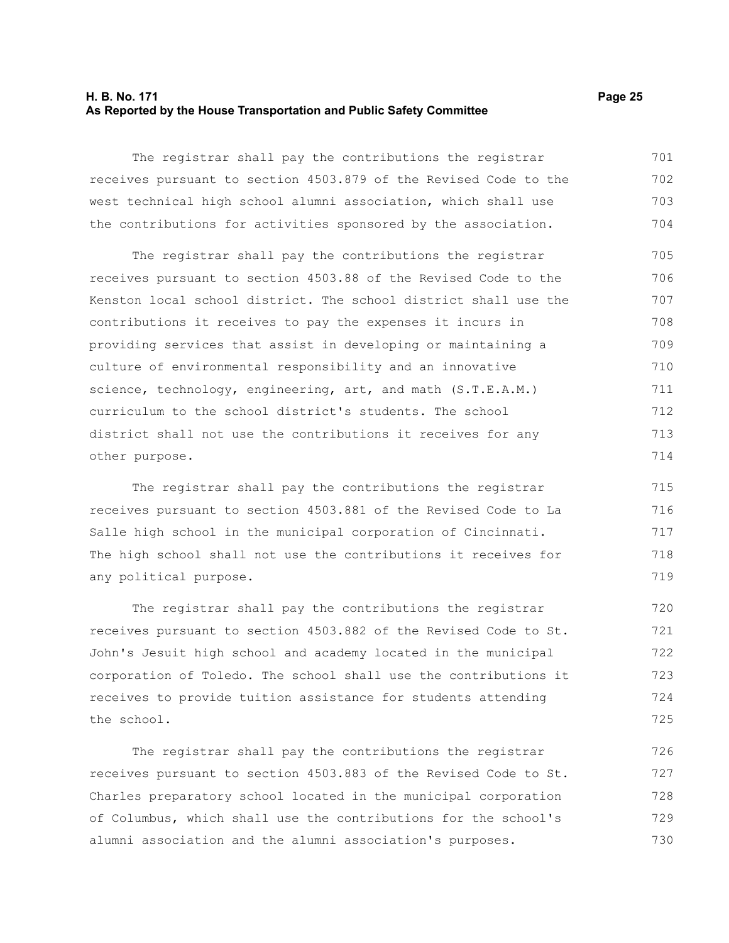#### **H. B. No. 171 Page 25 As Reported by the House Transportation and Public Safety Committee**

The registrar shall pay the contributions the registrar receives pursuant to section 4503.879 of the Revised Code to the west technical high school alumni association, which shall use the contributions for activities sponsored by the association. 701 702 703 704

The registrar shall pay the contributions the registrar receives pursuant to section 4503.88 of the Revised Code to the Kenston local school district. The school district shall use the contributions it receives to pay the expenses it incurs in providing services that assist in developing or maintaining a culture of environmental responsibility and an innovative science, technology, engineering, art, and math (S.T.E.A.M.) curriculum to the school district's students. The school district shall not use the contributions it receives for any other purpose. 705 706 707 708 709 710 711 712 713 714

The registrar shall pay the contributions the registrar receives pursuant to section 4503.881 of the Revised Code to La Salle high school in the municipal corporation of Cincinnati. The high school shall not use the contributions it receives for any political purpose.

The registrar shall pay the contributions the registrar receives pursuant to section 4503.882 of the Revised Code to St. John's Jesuit high school and academy located in the municipal corporation of Toledo. The school shall use the contributions it receives to provide tuition assistance for students attending the school. 720 721 722 723 724 725

The registrar shall pay the contributions the registrar receives pursuant to section 4503.883 of the Revised Code to St. Charles preparatory school located in the municipal corporation of Columbus, which shall use the contributions for the school's alumni association and the alumni association's purposes. 726 727 728 729 730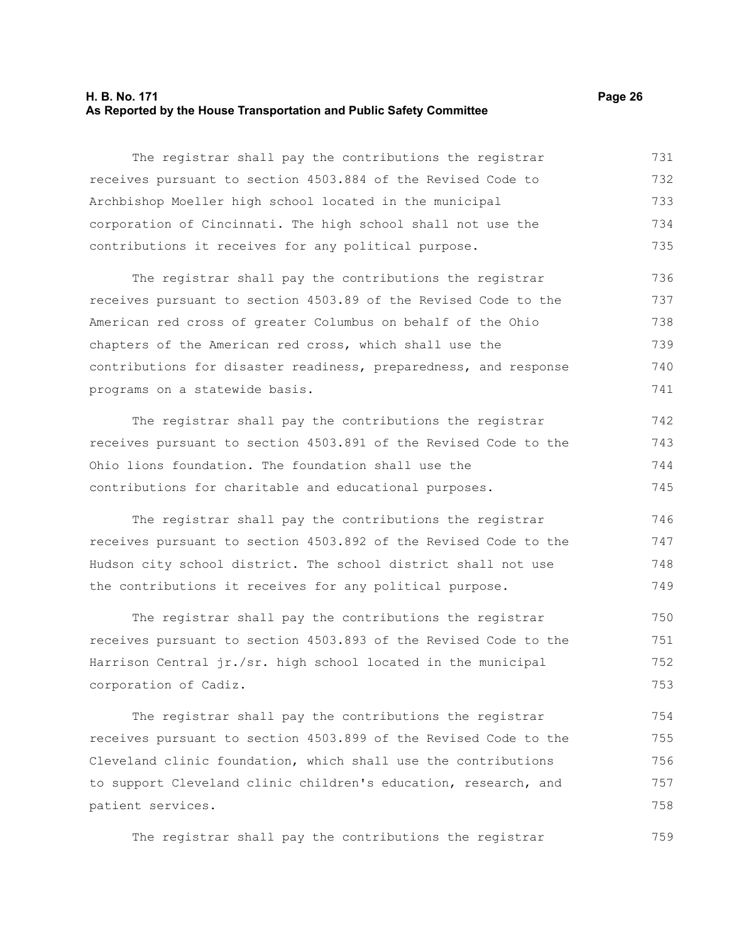#### **H. B. No. 171 Page 26 As Reported by the House Transportation and Public Safety Committee**

The registrar shall pay the contributions the registrar receives pursuant to section 4503.884 of the Revised Code to Archbishop Moeller high school located in the municipal corporation of Cincinnati. The high school shall not use the contributions it receives for any political purpose. 731 732 733 734 735

The registrar shall pay the contributions the registrar receives pursuant to section 4503.89 of the Revised Code to the American red cross of greater Columbus on behalf of the Ohio chapters of the American red cross, which shall use the contributions for disaster readiness, preparedness, and response programs on a statewide basis. 736 737 738 739 740 741

The registrar shall pay the contributions the registrar receives pursuant to section 4503.891 of the Revised Code to the Ohio lions foundation. The foundation shall use the contributions for charitable and educational purposes. 742 743 744 745

The registrar shall pay the contributions the registrar receives pursuant to section 4503.892 of the Revised Code to the Hudson city school district. The school district shall not use the contributions it receives for any political purpose. 746 747 748 749

The registrar shall pay the contributions the registrar receives pursuant to section 4503.893 of the Revised Code to the Harrison Central jr./sr. high school located in the municipal corporation of Cadiz. 750 751 752 753

The registrar shall pay the contributions the registrar receives pursuant to section 4503.899 of the Revised Code to the Cleveland clinic foundation, which shall use the contributions to support Cleveland clinic children's education, research, and patient services. 754 755 756 757 758

The registrar shall pay the contributions the registrar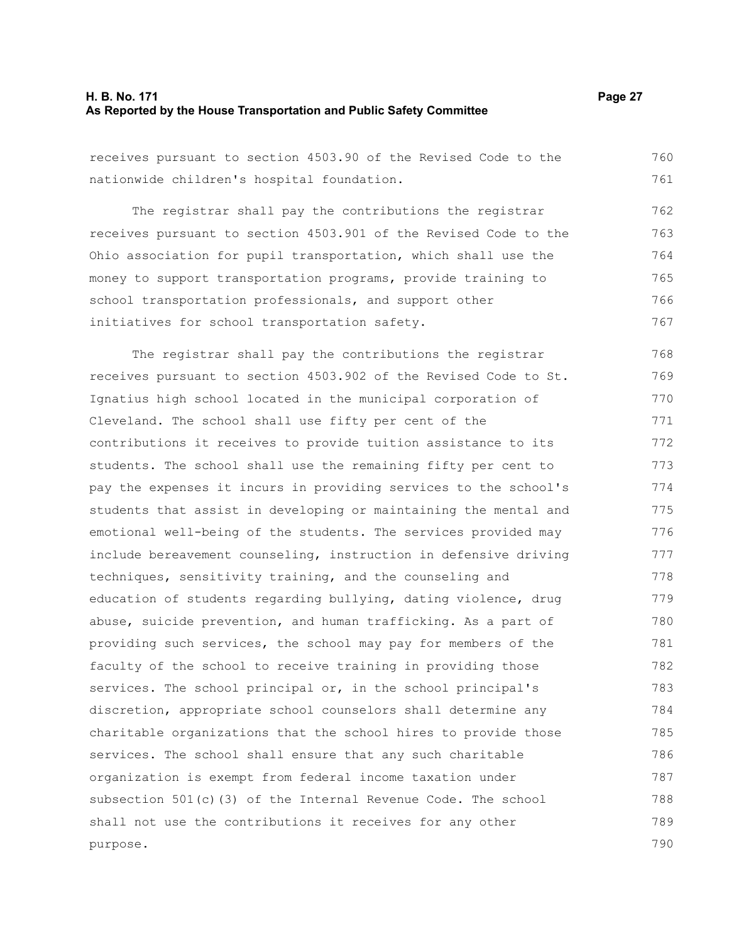#### **H. B. No. 171 Page 27 As Reported by the House Transportation and Public Safety Committee**

receives pursuant to section 4503.90 of the Revised Code to the nationwide children's hospital foundation. 760 761

The registrar shall pay the contributions the registrar receives pursuant to section 4503.901 of the Revised Code to the Ohio association for pupil transportation, which shall use the money to support transportation programs, provide training to school transportation professionals, and support other initiatives for school transportation safety. 762 763 764 765 766 767

The registrar shall pay the contributions the registrar receives pursuant to section 4503.902 of the Revised Code to St. Ignatius high school located in the municipal corporation of Cleveland. The school shall use fifty per cent of the contributions it receives to provide tuition assistance to its students. The school shall use the remaining fifty per cent to pay the expenses it incurs in providing services to the school's students that assist in developing or maintaining the mental and emotional well-being of the students. The services provided may include bereavement counseling, instruction in defensive driving techniques, sensitivity training, and the counseling and education of students regarding bullying, dating violence, drug abuse, suicide prevention, and human trafficking. As a part of providing such services, the school may pay for members of the faculty of the school to receive training in providing those services. The school principal or, in the school principal's discretion, appropriate school counselors shall determine any charitable organizations that the school hires to provide those services. The school shall ensure that any such charitable organization is exempt from federal income taxation under subsection 501(c)(3) of the Internal Revenue Code. The school shall not use the contributions it receives for any other purpose. 768 769 770 771 772 773 774 775 776 777 778 779 780 781 782 783 784 785 786 787 788 789 790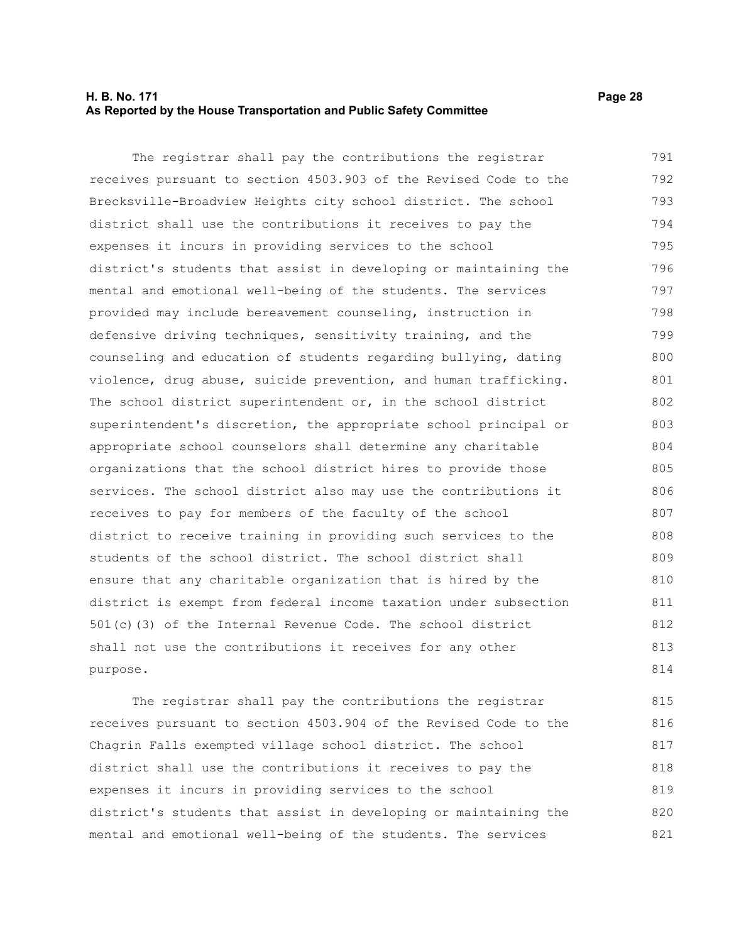#### **H. B. No. 171 Page 28 As Reported by the House Transportation and Public Safety Committee**

The registrar shall pay the contributions the registrar receives pursuant to section 4503.903 of the Revised Code to the Brecksville-Broadview Heights city school district. The school district shall use the contributions it receives to pay the expenses it incurs in providing services to the school district's students that assist in developing or maintaining the mental and emotional well-being of the students. The services provided may include bereavement counseling, instruction in defensive driving techniques, sensitivity training, and the counseling and education of students regarding bullying, dating violence, drug abuse, suicide prevention, and human trafficking. The school district superintendent or, in the school district superintendent's discretion, the appropriate school principal or appropriate school counselors shall determine any charitable organizations that the school district hires to provide those services. The school district also may use the contributions it receives to pay for members of the faculty of the school district to receive training in providing such services to the students of the school district. The school district shall ensure that any charitable organization that is hired by the district is exempt from federal income taxation under subsection 501(c)(3) of the Internal Revenue Code. The school district shall not use the contributions it receives for any other purpose. 791 792 793 794 795 796 797 798 799 800 801 802 803 804 805 806 807 808 809 810 811 812 813 814

The registrar shall pay the contributions the registrar receives pursuant to section 4503.904 of the Revised Code to the Chagrin Falls exempted village school district. The school district shall use the contributions it receives to pay the expenses it incurs in providing services to the school district's students that assist in developing or maintaining the mental and emotional well-being of the students. The services 815 816 817 818 819 820 821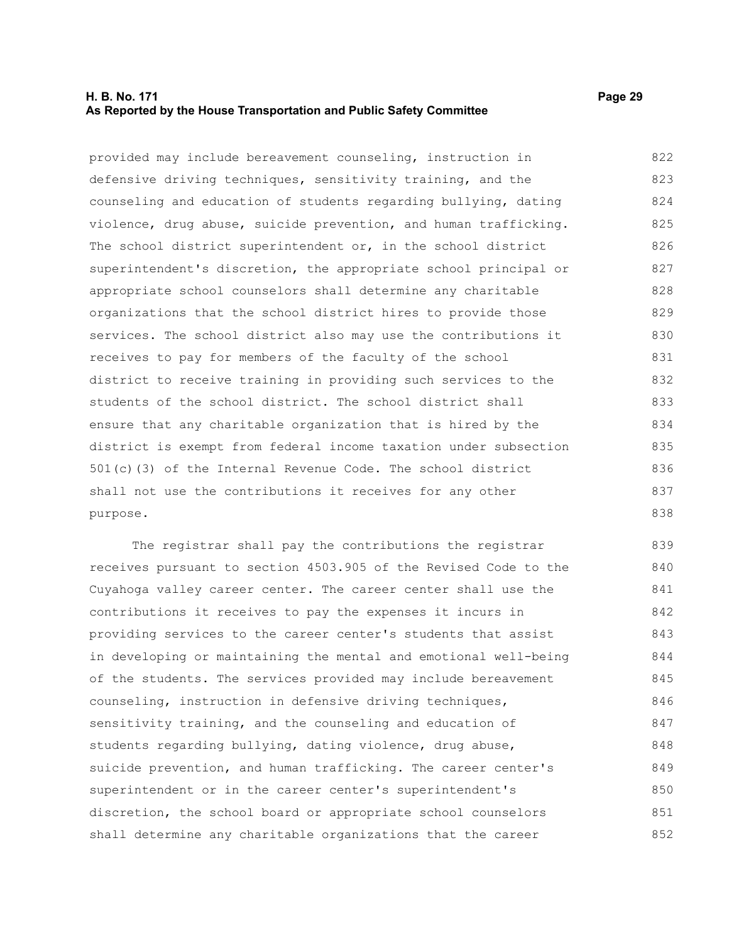#### **H. B. No. 171 Page 29 As Reported by the House Transportation and Public Safety Committee**

provided may include bereavement counseling, instruction in defensive driving techniques, sensitivity training, and the counseling and education of students regarding bullying, dating violence, drug abuse, suicide prevention, and human trafficking. The school district superintendent or, in the school district superintendent's discretion, the appropriate school principal or appropriate school counselors shall determine any charitable organizations that the school district hires to provide those services. The school district also may use the contributions it receives to pay for members of the faculty of the school district to receive training in providing such services to the students of the school district. The school district shall ensure that any charitable organization that is hired by the district is exempt from federal income taxation under subsection 501(c)(3) of the Internal Revenue Code. The school district shall not use the contributions it receives for any other purpose. 822 823 824 825 826 827 828 829 830 831 832 833 834 835 836 837 838

The registrar shall pay the contributions the registrar receives pursuant to section 4503.905 of the Revised Code to the Cuyahoga valley career center. The career center shall use the contributions it receives to pay the expenses it incurs in providing services to the career center's students that assist in developing or maintaining the mental and emotional well-being of the students. The services provided may include bereavement counseling, instruction in defensive driving techniques, sensitivity training, and the counseling and education of students regarding bullying, dating violence, drug abuse, suicide prevention, and human trafficking. The career center's superintendent or in the career center's superintendent's discretion, the school board or appropriate school counselors shall determine any charitable organizations that the career 839 840 841 842 843 844 845 846 847 848 849 850 851 852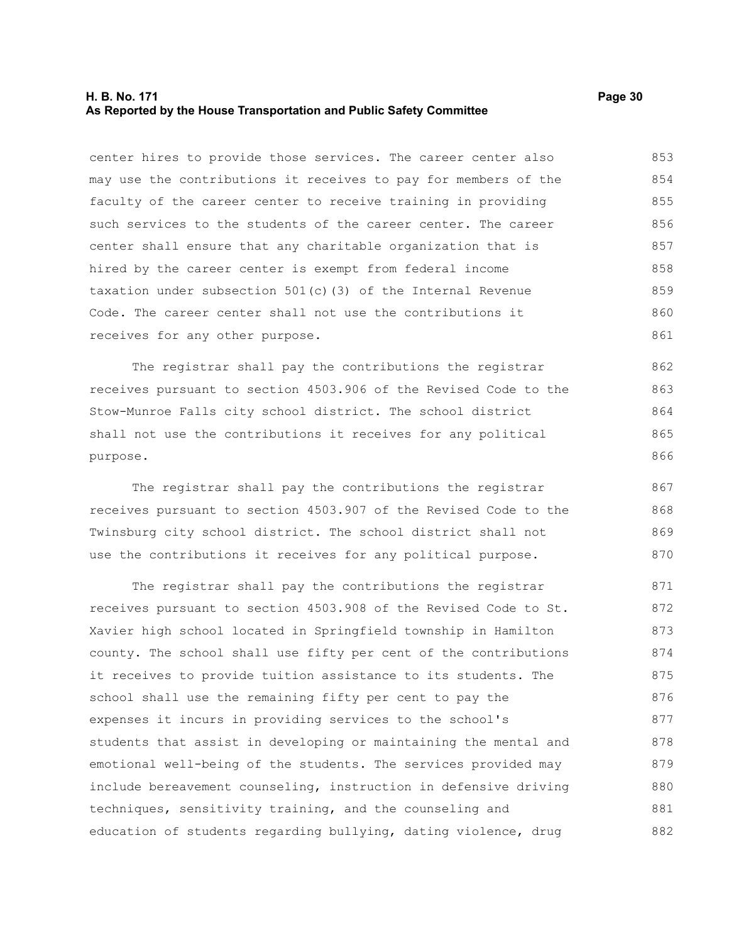#### **H. B. No. 171 Page 30 As Reported by the House Transportation and Public Safety Committee**

center hires to provide those services. The career center also may use the contributions it receives to pay for members of the faculty of the career center to receive training in providing such services to the students of the career center. The career center shall ensure that any charitable organization that is hired by the career center is exempt from federal income taxation under subsection 501(c)(3) of the Internal Revenue Code. The career center shall not use the contributions it receives for any other purpose. 853 854 855 856 857 858 859 860 861

The registrar shall pay the contributions the registrar receives pursuant to section 4503.906 of the Revised Code to the Stow-Munroe Falls city school district. The school district shall not use the contributions it receives for any political purpose.

The registrar shall pay the contributions the registrar receives pursuant to section 4503.907 of the Revised Code to the Twinsburg city school district. The school district shall not use the contributions it receives for any political purpose.

The registrar shall pay the contributions the registrar receives pursuant to section 4503.908 of the Revised Code to St. Xavier high school located in Springfield township in Hamilton county. The school shall use fifty per cent of the contributions it receives to provide tuition assistance to its students. The school shall use the remaining fifty per cent to pay the expenses it incurs in providing services to the school's students that assist in developing or maintaining the mental and emotional well-being of the students. The services provided may include bereavement counseling, instruction in defensive driving techniques, sensitivity training, and the counseling and education of students regarding bullying, dating violence, drug 871 872 873 874 875 876 877 878 879 880 881 882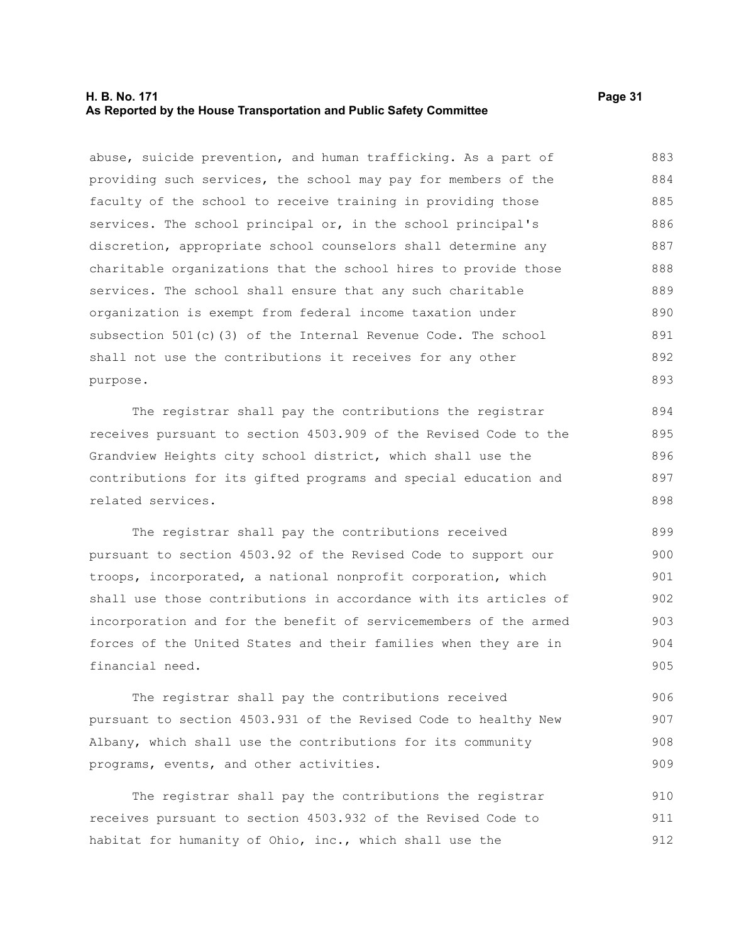#### **H. B. No. 171 Page 31 As Reported by the House Transportation and Public Safety Committee**

abuse, suicide prevention, and human trafficking. As a part of providing such services, the school may pay for members of the faculty of the school to receive training in providing those services. The school principal or, in the school principal's discretion, appropriate school counselors shall determine any charitable organizations that the school hires to provide those services. The school shall ensure that any such charitable organization is exempt from federal income taxation under subsection 501(c)(3) of the Internal Revenue Code. The school shall not use the contributions it receives for any other purpose. 883 884 885 886 887 888 889 890 891 892 893

The registrar shall pay the contributions the registrar receives pursuant to section 4503.909 of the Revised Code to the Grandview Heights city school district, which shall use the contributions for its gifted programs and special education and related services.

The registrar shall pay the contributions received pursuant to section 4503.92 of the Revised Code to support our troops, incorporated, a national nonprofit corporation, which shall use those contributions in accordance with its articles of incorporation and for the benefit of servicemembers of the armed forces of the United States and their families when they are in financial need. 899 900 901 902 903 904 905

The registrar shall pay the contributions received pursuant to section 4503.931 of the Revised Code to healthy New Albany, which shall use the contributions for its community programs, events, and other activities.

The registrar shall pay the contributions the registrar receives pursuant to section 4503.932 of the Revised Code to habitat for humanity of Ohio, inc., which shall use the 910 911 912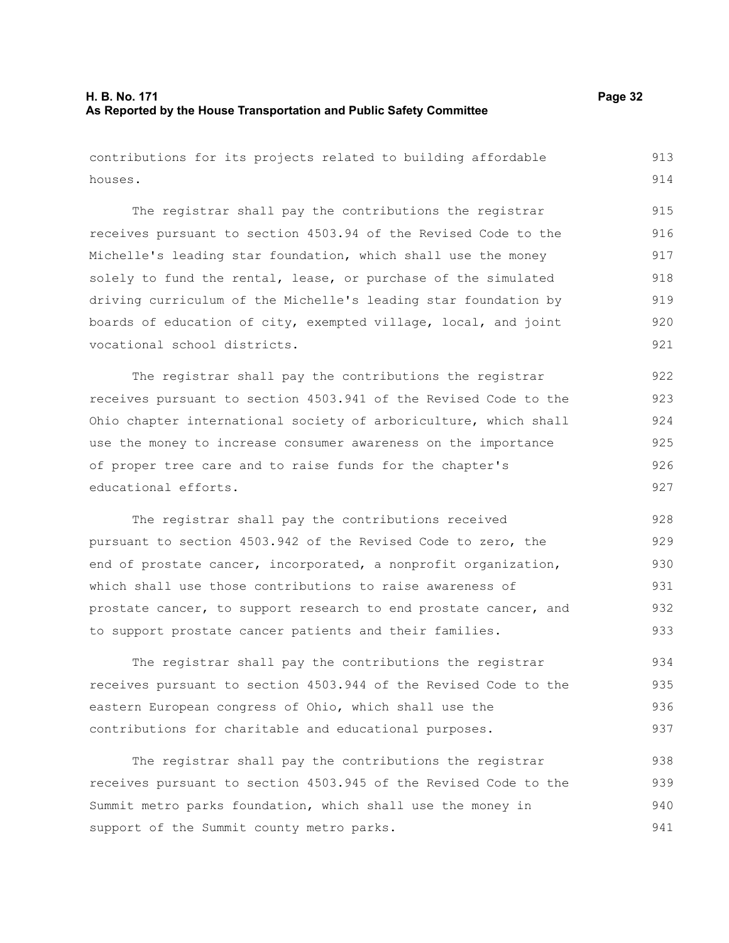houses.

contributions for its projects related to building affordable 913

The registrar shall pay the contributions the registrar receives pursuant to section 4503.94 of the Revised Code to the Michelle's leading star foundation, which shall use the money solely to fund the rental, lease, or purchase of the simulated driving curriculum of the Michelle's leading star foundation by boards of education of city, exempted village, local, and joint vocational school districts. 915 916 917 918 919 920 921

The registrar shall pay the contributions the registrar receives pursuant to section 4503.941 of the Revised Code to the Ohio chapter international society of arboriculture, which shall use the money to increase consumer awareness on the importance of proper tree care and to raise funds for the chapter's educational efforts. 922 923 924 925 926 927

The registrar shall pay the contributions received pursuant to section 4503.942 of the Revised Code to zero, the end of prostate cancer, incorporated, a nonprofit organization, which shall use those contributions to raise awareness of prostate cancer, to support research to end prostate cancer, and to support prostate cancer patients and their families. 928 929 930 931 932 933

The registrar shall pay the contributions the registrar receives pursuant to section 4503.944 of the Revised Code to the eastern European congress of Ohio, which shall use the contributions for charitable and educational purposes. 934 935 936 937

The registrar shall pay the contributions the registrar receives pursuant to section 4503.945 of the Revised Code to the Summit metro parks foundation, which shall use the money in support of the Summit county metro parks. 938 939 940 941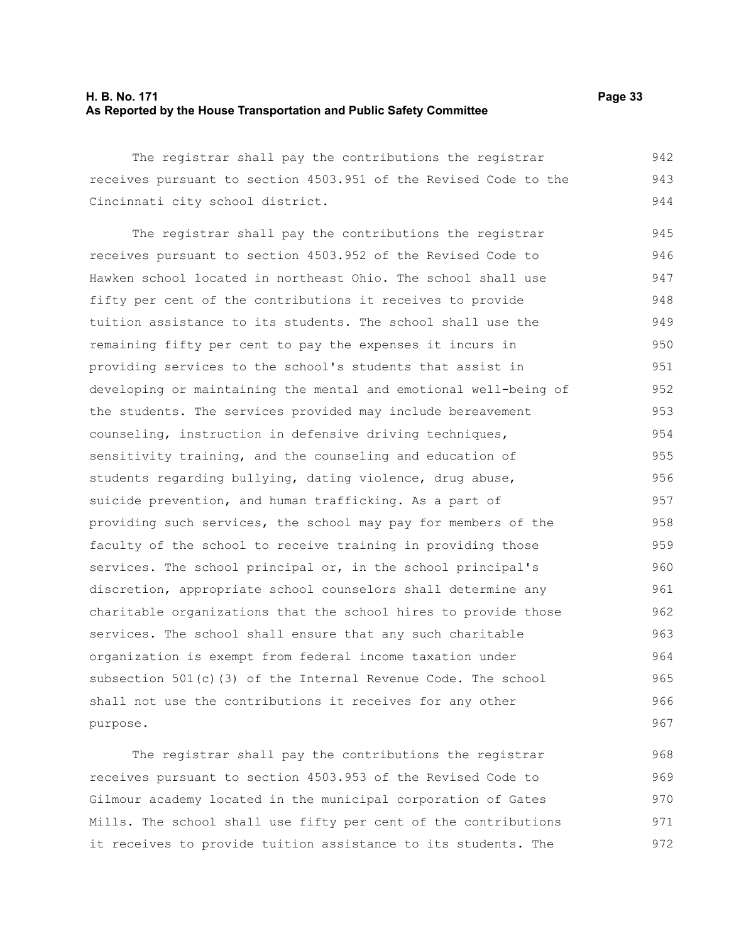#### **H. B. No. 171 Page 33 As Reported by the House Transportation and Public Safety Committee**

The registrar shall pay the contributions the registrar receives pursuant to section 4503.951 of the Revised Code to the Cincinnati city school district. 942 943 944

The registrar shall pay the contributions the registrar receives pursuant to section 4503.952 of the Revised Code to Hawken school located in northeast Ohio. The school shall use fifty per cent of the contributions it receives to provide tuition assistance to its students. The school shall use the remaining fifty per cent to pay the expenses it incurs in providing services to the school's students that assist in developing or maintaining the mental and emotional well-being of the students. The services provided may include bereavement counseling, instruction in defensive driving techniques, sensitivity training, and the counseling and education of students regarding bullying, dating violence, drug abuse, suicide prevention, and human trafficking. As a part of providing such services, the school may pay for members of the faculty of the school to receive training in providing those services. The school principal or, in the school principal's discretion, appropriate school counselors shall determine any charitable organizations that the school hires to provide those services. The school shall ensure that any such charitable organization is exempt from federal income taxation under subsection 501(c)(3) of the Internal Revenue Code. The school shall not use the contributions it receives for any other purpose. 945 946 947 948 949 950 951 952 953 954 955 956 957 958 959 960 961 962 963 964 965 966 967

The registrar shall pay the contributions the registrar receives pursuant to section 4503.953 of the Revised Code to Gilmour academy located in the municipal corporation of Gates Mills. The school shall use fifty per cent of the contributions it receives to provide tuition assistance to its students. The 968 969 970 971 972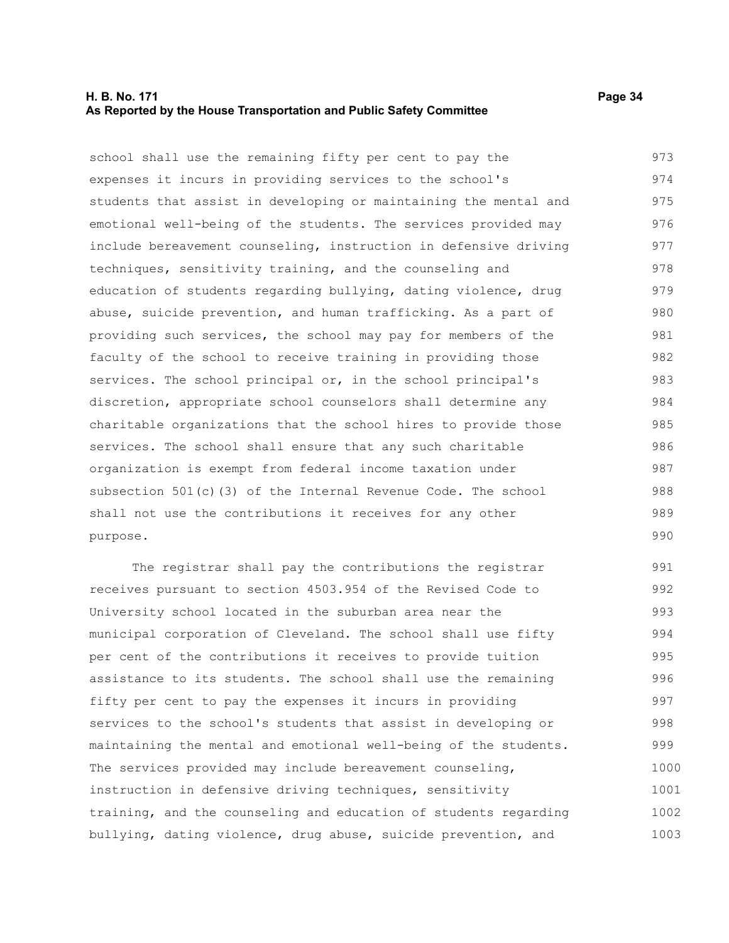#### **H. B. No. 171 Page 34 As Reported by the House Transportation and Public Safety Committee**

school shall use the remaining fifty per cent to pay the expenses it incurs in providing services to the school's students that assist in developing or maintaining the mental and emotional well-being of the students. The services provided may include bereavement counseling, instruction in defensive driving techniques, sensitivity training, and the counseling and education of students regarding bullying, dating violence, drug abuse, suicide prevention, and human trafficking. As a part of providing such services, the school may pay for members of the faculty of the school to receive training in providing those services. The school principal or, in the school principal's discretion, appropriate school counselors shall determine any charitable organizations that the school hires to provide those services. The school shall ensure that any such charitable organization is exempt from federal income taxation under subsection 501(c)(3) of the Internal Revenue Code. The school shall not use the contributions it receives for any other purpose. 973 974 975 976 977 978 979 980 981 982 983 984 985 986 987 988 989 990

The registrar shall pay the contributions the registrar receives pursuant to section 4503.954 of the Revised Code to University school located in the suburban area near the municipal corporation of Cleveland. The school shall use fifty per cent of the contributions it receives to provide tuition assistance to its students. The school shall use the remaining fifty per cent to pay the expenses it incurs in providing services to the school's students that assist in developing or maintaining the mental and emotional well-being of the students. The services provided may include bereavement counseling, instruction in defensive driving techniques, sensitivity training, and the counseling and education of students regarding bullying, dating violence, drug abuse, suicide prevention, and 991 992 993 994 995 996 997 998 999 1000 1001 1002 1003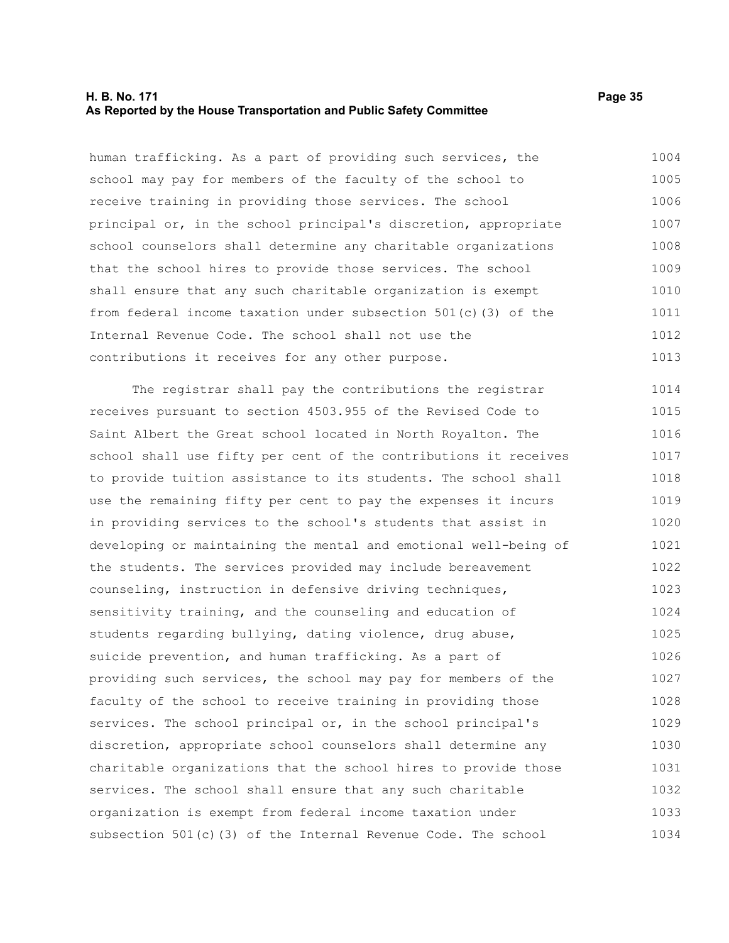#### **H. B. No. 171 Page 35 As Reported by the House Transportation and Public Safety Committee**

human trafficking. As a part of providing such services, the school may pay for members of the faculty of the school to receive training in providing those services. The school principal or, in the school principal's discretion, appropriate school counselors shall determine any charitable organizations that the school hires to provide those services. The school shall ensure that any such charitable organization is exempt from federal income taxation under subsection 501(c)(3) of the Internal Revenue Code. The school shall not use the contributions it receives for any other purpose. 1004 1005 1006 1007 1008 1009 1010 1011 1012 1013

The registrar shall pay the contributions the registrar receives pursuant to section 4503.955 of the Revised Code to Saint Albert the Great school located in North Royalton. The school shall use fifty per cent of the contributions it receives to provide tuition assistance to its students. The school shall use the remaining fifty per cent to pay the expenses it incurs in providing services to the school's students that assist in developing or maintaining the mental and emotional well-being of the students. The services provided may include bereavement counseling, instruction in defensive driving techniques, sensitivity training, and the counseling and education of students regarding bullying, dating violence, drug abuse, suicide prevention, and human trafficking. As a part of providing such services, the school may pay for members of the faculty of the school to receive training in providing those services. The school principal or, in the school principal's discretion, appropriate school counselors shall determine any charitable organizations that the school hires to provide those services. The school shall ensure that any such charitable organization is exempt from federal income taxation under subsection 501(c)(3) of the Internal Revenue Code. The school 1014 1015 1016 1017 1018 1019 1020 1021 1022 1023 1024 1025 1026 1027 1028 1029 1030 1031 1032 1033 1034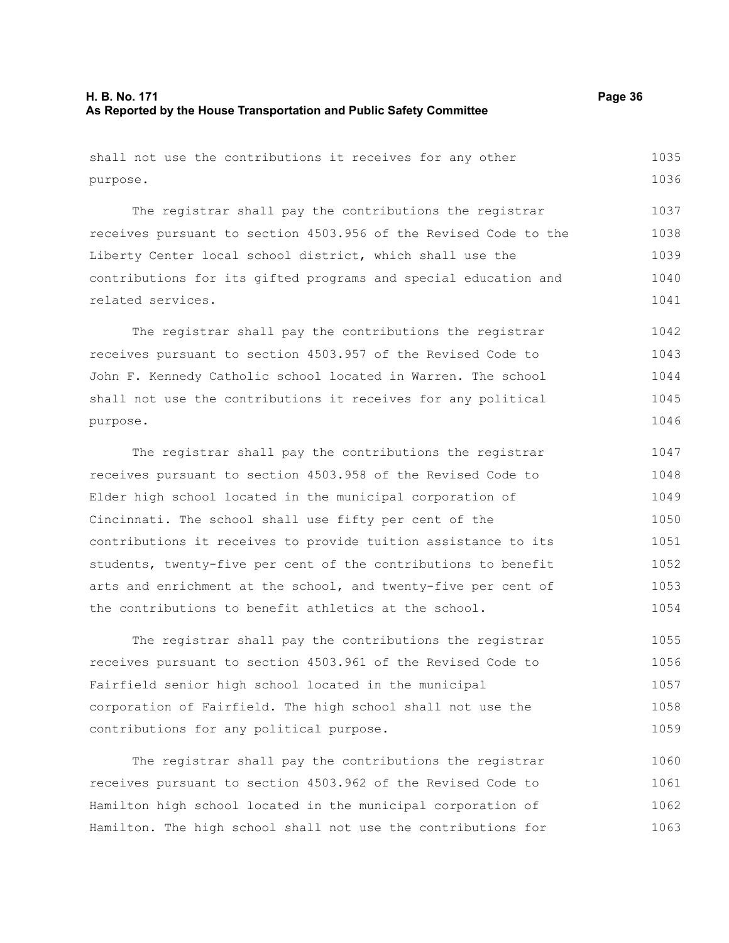shall not use the contributions it receives for any other purpose. 1035 1036

The registrar shall pay the contributions the registrar receives pursuant to section 4503.956 of the Revised Code to the Liberty Center local school district, which shall use the contributions for its gifted programs and special education and related services. 1037 1038 1039 1040 1041

The registrar shall pay the contributions the registrar receives pursuant to section 4503.957 of the Revised Code to John F. Kennedy Catholic school located in Warren. The school shall not use the contributions it receives for any political purpose. 1042 1043 1044 1045 1046

The registrar shall pay the contributions the registrar receives pursuant to section 4503.958 of the Revised Code to Elder high school located in the municipal corporation of Cincinnati. The school shall use fifty per cent of the contributions it receives to provide tuition assistance to its students, twenty-five per cent of the contributions to benefit arts and enrichment at the school, and twenty-five per cent of the contributions to benefit athletics at the school. 1047 1048 1049 1050 1051 1052 1053 1054

The registrar shall pay the contributions the registrar receives pursuant to section 4503.961 of the Revised Code to Fairfield senior high school located in the municipal corporation of Fairfield. The high school shall not use the contributions for any political purpose. 1055 1056 1057 1058 1059

The registrar shall pay the contributions the registrar receives pursuant to section 4503.962 of the Revised Code to Hamilton high school located in the municipal corporation of Hamilton. The high school shall not use the contributions for 1060 1061 1062 1063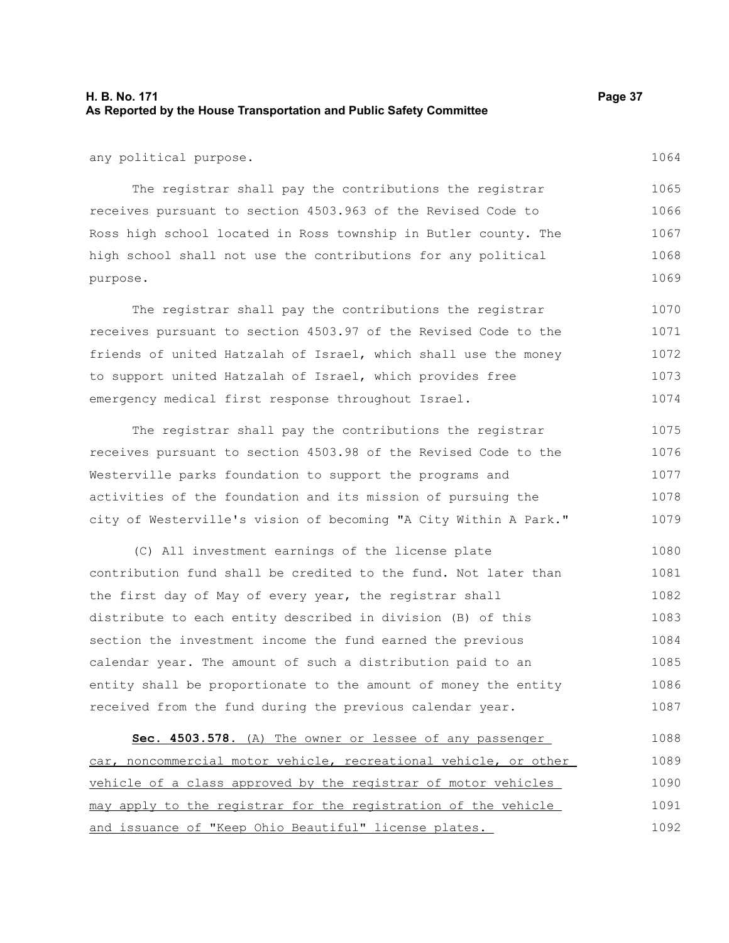### **H. B. No. 171 Page 37 As Reported by the House Transportation and Public Safety Committee**

any political purpose.

The registrar shall pay the contributions the registrar receives pursuant to section 4503.963 of the Revised Code to Ross high school located in Ross township in Butler county. The high school shall not use the contributions for any political purpose. 1065 1066 1067 1068 1069

The registrar shall pay the contributions the registrar receives pursuant to section 4503.97 of the Revised Code to the friends of united Hatzalah of Israel, which shall use the money to support united Hatzalah of Israel, which provides free emergency medical first response throughout Israel. 1070 1071 1072 1073 1074

The registrar shall pay the contributions the registrar receives pursuant to section 4503.98 of the Revised Code to the Westerville parks foundation to support the programs and activities of the foundation and its mission of pursuing the city of Westerville's vision of becoming "A City Within A Park." 1075 1076 1077 1078 1079

(C) All investment earnings of the license plate contribution fund shall be credited to the fund. Not later than the first day of May of every year, the registrar shall distribute to each entity described in division (B) of this section the investment income the fund earned the previous calendar year. The amount of such a distribution paid to an entity shall be proportionate to the amount of money the entity received from the fund during the previous calendar year. 1080 1081 1082 1083 1084 1085 1086 1087

 **Sec. 4503.578.** (A) The owner or lessee of any passenger car, noncommercial motor vehicle, recreational vehicle, or other vehicle of a class approved by the registrar of motor vehicles may apply to the registrar for the registration of the vehicle and issuance of "Keep Ohio Beautiful" license plates. 1088 1089 1090 1091 1092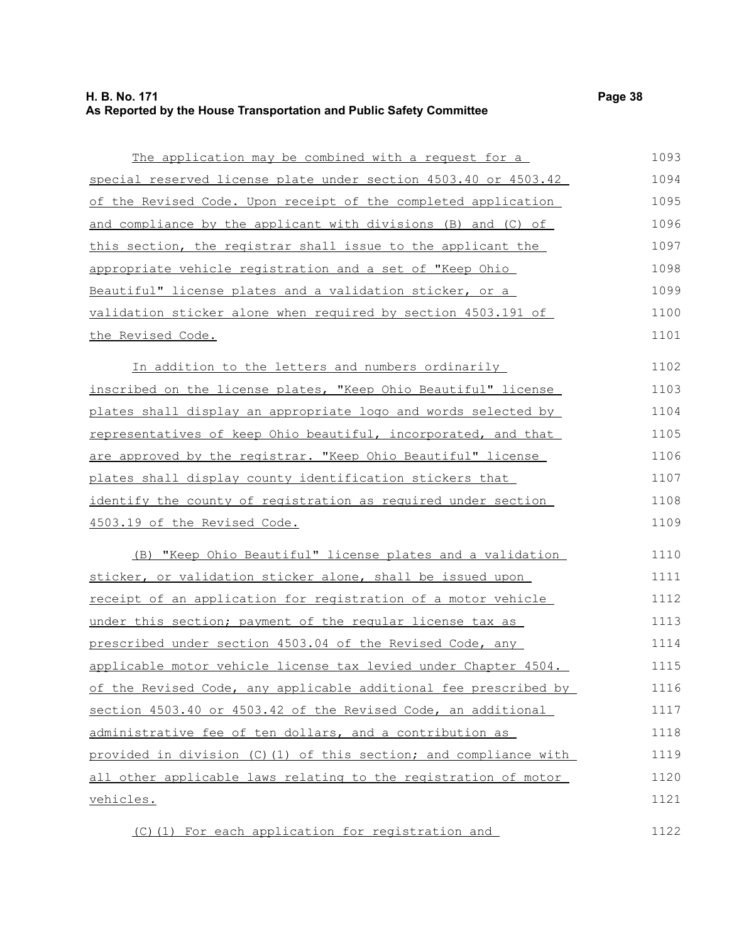## **H. B. No. 171 Page 38 As Reported by the House Transportation and Public Safety Committee**

| The application may be combined with a request for a                   | 1093 |
|------------------------------------------------------------------------|------|
| special reserved license plate under section 4503.40 or 4503.42        | 1094 |
| of the Revised Code. Upon receipt of the completed application         | 1095 |
| and compliance by the applicant with divisions (B) and (C) of          | 1096 |
| this section, the registrar shall issue to the applicant the           | 1097 |
| appropriate vehicle registration and a set of "Keep Ohio               | 1098 |
| Beautiful" license plates and a validation sticker, or a               | 1099 |
| validation sticker alone when required by section 4503.191 of          | 1100 |
| the Revised Code.                                                      | 1101 |
| In addition to the letters and numbers ordinarily                      | 1102 |
| inscribed on the license plates, "Keep Ohio Beautiful" license         | 1103 |
| plates shall display an appropriate logo and words selected by         | 1104 |
| representatives of keep Ohio beautiful, incorporated, and that         | 1105 |
| are approved by the registrar. "Keep Ohio Beautiful" license           | 1106 |
| <u>plates shall display county identification stickers that </u>       | 1107 |
| identify the county of registration as required under section          | 1108 |
| 4503.19 of the Revised Code.                                           | 1109 |
| (B) "Keep Ohio Beautiful" license plates and a validation              | 1110 |
| sticker, or validation sticker alone, shall be issued upon             | 1111 |
| receipt of an application for registration of a motor vehicle          | 1112 |
| under this section; payment of the regular license tax as              | 1113 |
| prescribed under section 4503.04 of the Revised Code, any              | 1114 |
| <u>applicable motor vehicle license tax levied under Chapter 4504.</u> | 1115 |
| of the Revised Code, any applicable additional fee prescribed by       | 1116 |
| section 4503.40 or 4503.42 of the Revised Code, an additional          | 1117 |
| administrative fee of ten dollars, and a contribution as               | 1118 |
| provided in division (C)(1) of this section; and compliance with       | 1119 |
| all other applicable laws relating to the registration of motor        | 1120 |
| <u>vehicles.</u>                                                       | 1121 |
| (C)(1) For each application for registration and                       | 1122 |